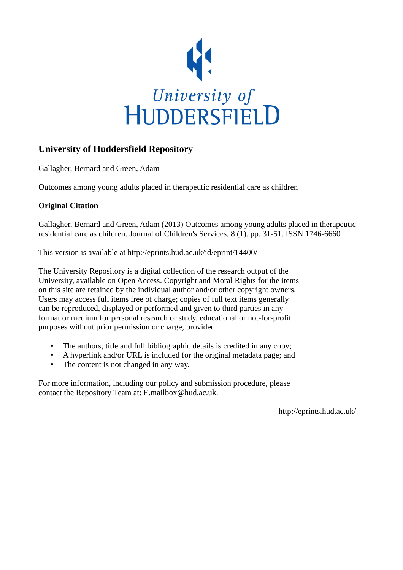

## **University of Huddersfield Repository**

Gallagher, Bernard and Green, Adam

Outcomes among young adults placed in therapeutic residential care as children

## **Original Citation**

Gallagher, Bernard and Green, Adam (2013) Outcomes among young adults placed in therapeutic residential care as children. Journal of Children's Services, 8 (1). pp. 31-51. ISSN 1746-6660

This version is available at http://eprints.hud.ac.uk/id/eprint/14400/

The University Repository is a digital collection of the research output of the University, available on Open Access. Copyright and Moral Rights for the items on this site are retained by the individual author and/or other copyright owners. Users may access full items free of charge; copies of full text items generally can be reproduced, displayed or performed and given to third parties in any format or medium for personal research or study, educational or not-for-profit purposes without prior permission or charge, provided:

- The authors, title and full bibliographic details is credited in any copy;
- A hyperlink and/or URL is included for the original metadata page; and
- The content is not changed in any way.

For more information, including our policy and submission procedure, please contact the Repository Team at: E.mailbox@hud.ac.uk.

http://eprints.hud.ac.uk/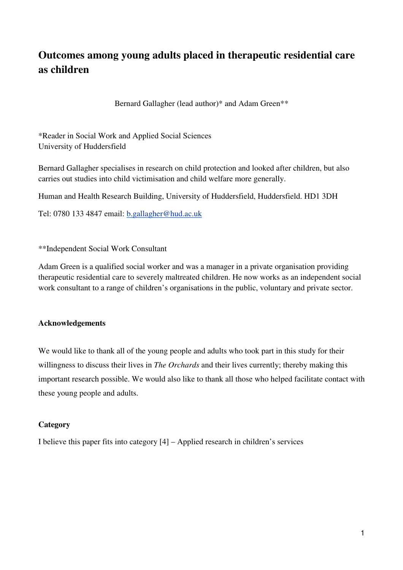# **Outcomes among young adults placed in therapeutic residential care as children**

Bernard Gallagher (lead author)\* and Adam Green\*\*

\*Reader in Social Work and Applied Social Sciences University of Huddersfield

Bernard Gallagher specialises in research on child protection and looked after children, but also carries out studies into child victimisation and child welfare more generally.

Human and Health Research Building, University of Huddersfield, Huddersfield. HD1 3DH

Tel: 0780 133 4847 email: b.gallagher@hud.ac.uk

\*\*Independent Social Work Consultant

Adam Green is a qualified social worker and was a manager in a private organisation providing therapeutic residential care to severely maltreated children. He now works as an independent social work consultant to a range of children's organisations in the public, voluntary and private sector.

## **Acknowledgements**

We would like to thank all of the young people and adults who took part in this study for their willingness to discuss their lives in *The Orchards* and their lives currently; thereby making this important research possible. We would also like to thank all those who helped facilitate contact with these young people and adults.

### **Category**

I believe this paper fits into category [4] – Applied research in children's services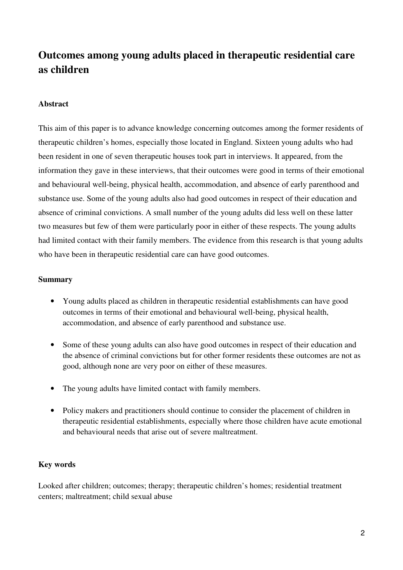# **Outcomes among young adults placed in therapeutic residential care as children**

## **Abstract**

This aim of this paper is to advance knowledge concerning outcomes among the former residents of therapeutic children's homes, especially those located in England. Sixteen young adults who had been resident in one of seven therapeutic houses took part in interviews. It appeared, from the information they gave in these interviews, that their outcomes were good in terms of their emotional and behavioural well-being, physical health, accommodation, and absence of early parenthood and substance use. Some of the young adults also had good outcomes in respect of their education and absence of criminal convictions. A small number of the young adults did less well on these latter two measures but few of them were particularly poor in either of these respects. The young adults had limited contact with their family members. The evidence from this research is that young adults who have been in therapeutic residential care can have good outcomes.

## **Summary**

- Young adults placed as children in therapeutic residential establishments can have good outcomes in terms of their emotional and behavioural well-being, physical health, accommodation, and absence of early parenthood and substance use.
- Some of these young adults can also have good outcomes in respect of their education and the absence of criminal convictions but for other former residents these outcomes are not as good, although none are very poor on either of these measures.
- The young adults have limited contact with family members.
- Policy makers and practitioners should continue to consider the placement of children in therapeutic residential establishments, especially where those children have acute emotional and behavioural needs that arise out of severe maltreatment.

## **Key words**

Looked after children; outcomes; therapy; therapeutic children's homes; residential treatment centers; maltreatment; child sexual abuse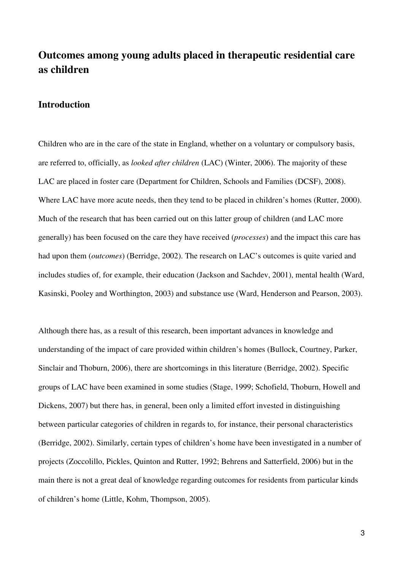## **Outcomes among young adults placed in therapeutic residential care as children**

## **Introduction**

Children who are in the care of the state in England, whether on a voluntary or compulsory basis, are referred to, officially, as *looked after children* (LAC) (Winter, 2006). The majority of these LAC are placed in foster care (Department for Children, Schools and Families (DCSF), 2008). Where LAC have more acute needs, then they tend to be placed in children's homes (Rutter, 2000). Much of the research that has been carried out on this latter group of children (and LAC more generally) has been focused on the care they have received (*processes*) and the impact this care has had upon them (*outcomes*) (Berridge, 2002). The research on LAC's outcomes is quite varied and includes studies of, for example, their education (Jackson and Sachdev, 2001), mental health (Ward, Kasinski, Pooley and Worthington, 2003) and substance use (Ward, Henderson and Pearson, 2003).

Although there has, as a result of this research, been important advances in knowledge and understanding of the impact of care provided within children's homes (Bullock, Courtney, Parker, Sinclair and Thoburn, 2006), there are shortcomings in this literature (Berridge, 2002). Specific groups of LAC have been examined in some studies (Stage, 1999; Schofield, Thoburn, Howell and Dickens, 2007) but there has, in general, been only a limited effort invested in distinguishing between particular categories of children in regards to, for instance, their personal characteristics (Berridge, 2002). Similarly, certain types of children's home have been investigated in a number of projects (Zoccolillo, Pickles, Quinton and Rutter, 1992; Behrens and Satterfield, 2006) but in the main there is not a great deal of knowledge regarding outcomes for residents from particular kinds of children's home (Little, Kohm, Thompson, 2005).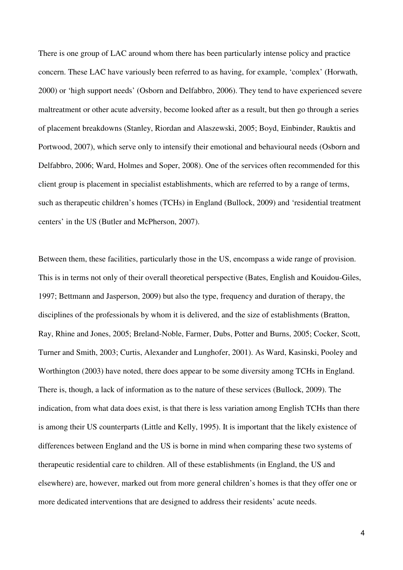There is one group of LAC around whom there has been particularly intense policy and practice concern. These LAC have variously been referred to as having, for example, 'complex' (Horwath, 2000) or 'high support needs' (Osborn and Delfabbro, 2006). They tend to have experienced severe maltreatment or other acute adversity, become looked after as a result, but then go through a series of placement breakdowns (Stanley, Riordan and Alaszewski, 2005; Boyd, Einbinder, Rauktis and Portwood, 2007), which serve only to intensify their emotional and behavioural needs (Osborn and Delfabbro, 2006; Ward, Holmes and Soper, 2008). One of the services often recommended for this client group is placement in specialist establishments, which are referred to by a range of terms, such as therapeutic children's homes (TCHs) in England (Bullock, 2009) and 'residential treatment centers' in the US (Butler and McPherson, 2007).

Between them, these facilities, particularly those in the US, encompass a wide range of provision. This is in terms not only of their overall theoretical perspective (Bates, English and Kouidou-Giles, 1997; Bettmann and Jasperson, 2009) but also the type, frequency and duration of therapy, the disciplines of the professionals by whom it is delivered, and the size of establishments (Bratton, Ray, Rhine and Jones, 2005; Breland-Noble, Farmer, Dubs, Potter and Burns, 2005; Cocker, Scott, Turner and Smith, 2003; Curtis, Alexander and Lunghofer, 2001). As Ward, Kasinski, Pooley and Worthington (2003) have noted, there does appear to be some diversity among TCHs in England. There is, though, a lack of information as to the nature of these services (Bullock, 2009). The indication, from what data does exist, is that there is less variation among English TCHs than there is among their US counterparts (Little and Kelly, 1995). It is important that the likely existence of differences between England and the US is borne in mind when comparing these two systems of therapeutic residential care to children. All of these establishments (in England, the US and elsewhere) are, however, marked out from more general children's homes is that they offer one or more dedicated interventions that are designed to address their residents' acute needs.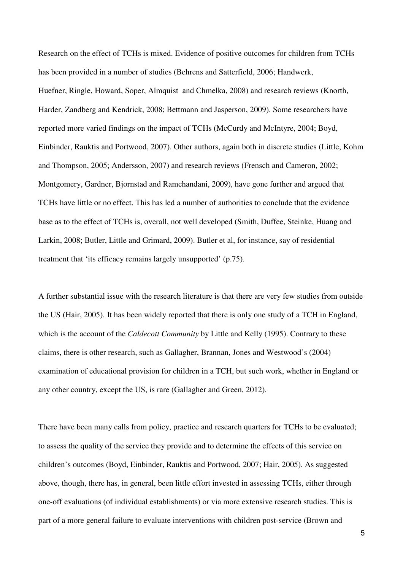Research on the effect of TCHs is mixed. Evidence of positive outcomes for children from TCHs has been provided in a number of studies (Behrens and Satterfield, 2006; Handwerk, Huefner, Ringle, Howard, Soper, Almquist and Chmelka, 2008) and research reviews (Knorth, Harder, Zandberg and Kendrick, 2008; Bettmann and Jasperson, 2009). Some researchers have reported more varied findings on the impact of TCHs (McCurdy and McIntyre, 2004; Boyd, Einbinder, Rauktis and Portwood, 2007). Other authors, again both in discrete studies (Little, Kohm and Thompson, 2005; Andersson, 2007) and research reviews (Frensch and Cameron, 2002; Montgomery, Gardner, Bjornstad and Ramchandani, 2009), have gone further and argued that TCHs have little or no effect. This has led a number of authorities to conclude that the evidence base as to the effect of TCHs is, overall, not well developed (Smith, Duffee, Steinke, Huang and Larkin, 2008; Butler, Little and Grimard, 2009). Butler et al, for instance, say of residential treatment that 'its efficacy remains largely unsupported' (p.75).

A further substantial issue with the research literature is that there are very few studies from outside the US (Hair, 2005). It has been widely reported that there is only one study of a TCH in England, which is the account of the *Caldecott Community* by Little and Kelly (1995). Contrary to these claims, there is other research, such as Gallagher, Brannan, Jones and Westwood's (2004) examination of educational provision for children in a TCH, but such work, whether in England or any other country, except the US, is rare (Gallagher and Green, 2012).

There have been many calls from policy, practice and research quarters for TCHs to be evaluated; to assess the quality of the service they provide and to determine the effects of this service on children's outcomes (Boyd, Einbinder, Rauktis and Portwood, 2007; Hair, 2005). As suggested above, though, there has, in general, been little effort invested in assessing TCHs, either through one-off evaluations (of individual establishments) or via more extensive research studies. This is part of a more general failure to evaluate interventions with children post-service (Brown and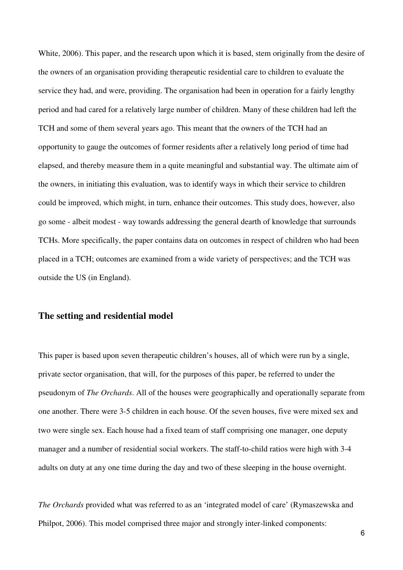White, 2006). This paper, and the research upon which it is based, stem originally from the desire of the owners of an organisation providing therapeutic residential care to children to evaluate the service they had, and were, providing. The organisation had been in operation for a fairly lengthy period and had cared for a relatively large number of children. Many of these children had left the TCH and some of them several years ago. This meant that the owners of the TCH had an opportunity to gauge the outcomes of former residents after a relatively long period of time had elapsed, and thereby measure them in a quite meaningful and substantial way. The ultimate aim of the owners, in initiating this evaluation, was to identify ways in which their service to children could be improved, which might, in turn, enhance their outcomes. This study does, however, also go some - albeit modest - way towards addressing the general dearth of knowledge that surrounds TCHs. More specifically, the paper contains data on outcomes in respect of children who had been placed in a TCH; outcomes are examined from a wide variety of perspectives; and the TCH was outside the US (in England).

## **The setting and residential model**

This paper is based upon seven therapeutic children's houses, all of which were run by a single, private sector organisation, that will, for the purposes of this paper, be referred to under the pseudonym of *The Orchards*. All of the houses were geographically and operationally separate from one another. There were 3-5 children in each house. Of the seven houses, five were mixed sex and two were single sex. Each house had a fixed team of staff comprising one manager, one deputy manager and a number of residential social workers. The staff-to-child ratios were high with 3-4 adults on duty at any one time during the day and two of these sleeping in the house overnight.

*The Orchards* provided what was referred to as an 'integrated model of care' (Rymaszewska and Philpot, 2006). This model comprised three major and strongly inter-linked components: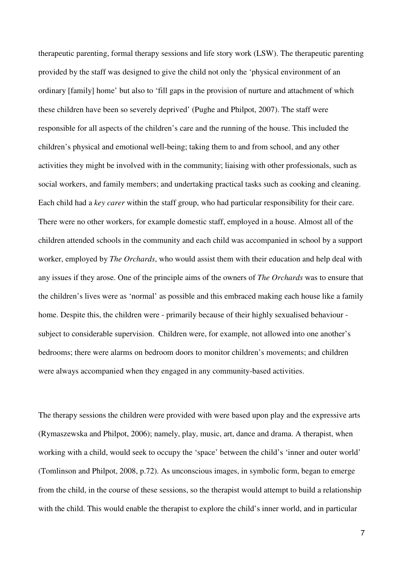therapeutic parenting, formal therapy sessions and life story work (LSW). The therapeutic parenting provided by the staff was designed to give the child not only the 'physical environment of an ordinary [family] home' but also to 'fill gaps in the provision of nurture and attachment of which these children have been so severely deprived' (Pughe and Philpot, 2007). The staff were responsible for all aspects of the children's care and the running of the house. This included the children's physical and emotional well-being; taking them to and from school, and any other activities they might be involved with in the community; liaising with other professionals, such as social workers, and family members; and undertaking practical tasks such as cooking and cleaning. Each child had a *key carer* within the staff group, who had particular responsibility for their care. There were no other workers, for example domestic staff, employed in a house. Almost all of the children attended schools in the community and each child was accompanied in school by a support worker, employed by *The Orchards*, who would assist them with their education and help deal with any issues if they arose. One of the principle aims of the owners of *The Orchards* was to ensure that the children's lives were as 'normal' as possible and this embraced making each house like a family home. Despite this, the children were - primarily because of their highly sexualised behaviour subject to considerable supervision. Children were, for example, not allowed into one another's bedrooms; there were alarms on bedroom doors to monitor children's movements; and children were always accompanied when they engaged in any community-based activities.

The therapy sessions the children were provided with were based upon play and the expressive arts (Rymaszewska and Philpot, 2006); namely, play, music, art, dance and drama. A therapist, when working with a child, would seek to occupy the 'space' between the child's 'inner and outer world' (Tomlinson and Philpot, 2008, p.72). As unconscious images, in symbolic form, began to emerge from the child, in the course of these sessions, so the therapist would attempt to build a relationship with the child. This would enable the therapist to explore the child's inner world, and in particular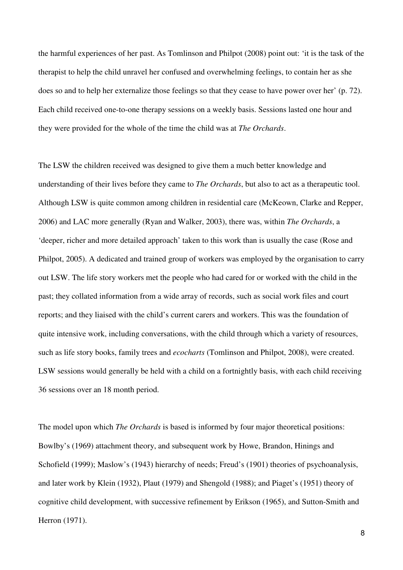the harmful experiences of her past. As Tomlinson and Philpot (2008) point out: 'it is the task of the therapist to help the child unravel her confused and overwhelming feelings, to contain her as she does so and to help her externalize those feelings so that they cease to have power over her' (p. 72). Each child received one-to-one therapy sessions on a weekly basis. Sessions lasted one hour and they were provided for the whole of the time the child was at *The Orchards*.

The LSW the children received was designed to give them a much better knowledge and understanding of their lives before they came to *The Orchards*, but also to act as a therapeutic tool. Although LSW is quite common among children in residential care (McKeown, Clarke and Repper, 2006) and LAC more generally (Ryan and Walker, 2003), there was, within *The Orchards*, a 'deeper, richer and more detailed approach' taken to this work than is usually the case (Rose and Philpot, 2005). A dedicated and trained group of workers was employed by the organisation to carry out LSW. The life story workers met the people who had cared for or worked with the child in the past; they collated information from a wide array of records, such as social work files and court reports; and they liaised with the child's current carers and workers. This was the foundation of quite intensive work, including conversations, with the child through which a variety of resources, such as life story books, family trees and *ecocharts* (Tomlinson and Philpot, 2008), were created. LSW sessions would generally be held with a child on a fortnightly basis, with each child receiving 36 sessions over an 18 month period.

The model upon which *The Orchards* is based is informed by four major theoretical positions: Bowlby's (1969) attachment theory, and subsequent work by Howe, Brandon, Hinings and Schofield (1999); Maslow's (1943) hierarchy of needs; Freud's (1901) theories of psychoanalysis, and later work by Klein (1932), Plaut (1979) and Shengold (1988); and Piaget's (1951) theory of cognitive child development, with successive refinement by Erikson (1965), and Sutton-Smith and Herron (1971).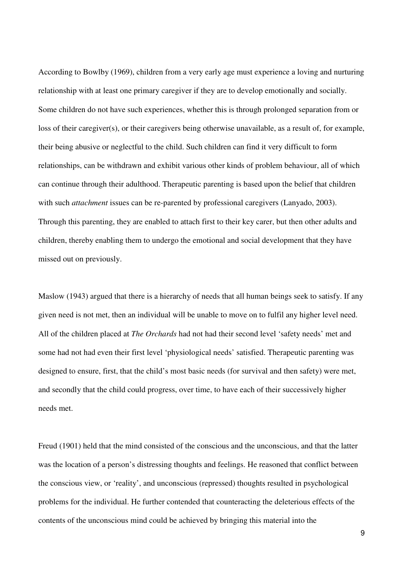According to Bowlby (1969), children from a very early age must experience a loving and nurturing relationship with at least one primary caregiver if they are to develop emotionally and socially. Some children do not have such experiences, whether this is through prolonged separation from or loss of their caregiver(s), or their caregivers being otherwise unavailable, as a result of, for example, their being abusive or neglectful to the child. Such children can find it very difficult to form relationships, can be withdrawn and exhibit various other kinds of problem behaviour, all of which can continue through their adulthood. Therapeutic parenting is based upon the belief that children with such *attachment* issues can be re-parented by professional caregivers (Lanyado, 2003). Through this parenting, they are enabled to attach first to their key carer, but then other adults and children, thereby enabling them to undergo the emotional and social development that they have missed out on previously.

Maslow (1943) argued that there is a hierarchy of needs that all human beings seek to satisfy. If any given need is not met, then an individual will be unable to move on to fulfil any higher level need. All of the children placed at *The Orchards* had not had their second level 'safety needs' met and some had not had even their first level 'physiological needs' satisfied. Therapeutic parenting was designed to ensure, first, that the child's most basic needs (for survival and then safety) were met, and secondly that the child could progress, over time, to have each of their successively higher needs met.

Freud (1901) held that the mind consisted of the conscious and the unconscious, and that the latter was the location of a person's distressing thoughts and feelings. He reasoned that conflict between the conscious view, or 'reality', and unconscious (repressed) thoughts resulted in psychological problems for the individual. He further contended that counteracting the deleterious effects of the contents of the unconscious mind could be achieved by bringing this material into the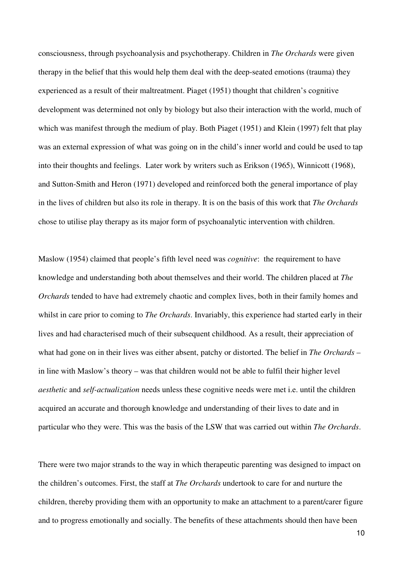consciousness, through psychoanalysis and psychotherapy. Children in *The Orchards* were given therapy in the belief that this would help them deal with the deep-seated emotions (trauma) they experienced as a result of their maltreatment. Piaget (1951) thought that children's cognitive development was determined not only by biology but also their interaction with the world, much of which was manifest through the medium of play. Both Piaget (1951) and Klein (1997) felt that play was an external expression of what was going on in the child's inner world and could be used to tap into their thoughts and feelings. Later work by writers such as Erikson (1965), Winnicott (1968), and Sutton-Smith and Heron (1971) developed and reinforced both the general importance of play in the lives of children but also its role in therapy. It is on the basis of this work that *The Orchards* chose to utilise play therapy as its major form of psychoanalytic intervention with children.

Maslow (1954) claimed that people's fifth level need was *cognitive*: the requirement to have knowledge and understanding both about themselves and their world. The children placed at *The Orchards* tended to have had extremely chaotic and complex lives, both in their family homes and whilst in care prior to coming to *The Orchards*. Invariably, this experience had started early in their lives and had characterised much of their subsequent childhood. As a result, their appreciation of what had gone on in their lives was either absent, patchy or distorted. The belief in *The Orchards* – in line with Maslow's theory – was that children would not be able to fulfil their higher level *aesthetic* and *self-actualization* needs unless these cognitive needs were met i.e. until the children acquired an accurate and thorough knowledge and understanding of their lives to date and in particular who they were. This was the basis of the LSW that was carried out within *The Orchards*.

There were two major strands to the way in which therapeutic parenting was designed to impact on the children's outcomes. First, the staff at *The Orchards* undertook to care for and nurture the children, thereby providing them with an opportunity to make an attachment to a parent/carer figure and to progress emotionally and socially. The benefits of these attachments should then have been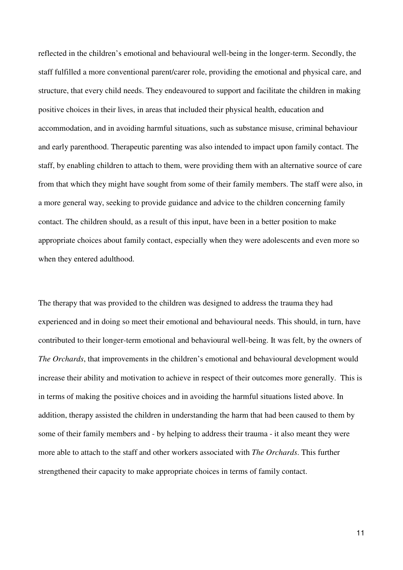reflected in the children's emotional and behavioural well-being in the longer-term. Secondly, the staff fulfilled a more conventional parent/carer role, providing the emotional and physical care, and structure, that every child needs. They endeavoured to support and facilitate the children in making positive choices in their lives, in areas that included their physical health, education and accommodation, and in avoiding harmful situations, such as substance misuse, criminal behaviour and early parenthood. Therapeutic parenting was also intended to impact upon family contact. The staff, by enabling children to attach to them, were providing them with an alternative source of care from that which they might have sought from some of their family members. The staff were also, in a more general way, seeking to provide guidance and advice to the children concerning family contact. The children should, as a result of this input, have been in a better position to make appropriate choices about family contact, especially when they were adolescents and even more so when they entered adulthood.

The therapy that was provided to the children was designed to address the trauma they had experienced and in doing so meet their emotional and behavioural needs. This should, in turn, have contributed to their longer-term emotional and behavioural well-being. It was felt, by the owners of *The Orchards*, that improvements in the children's emotional and behavioural development would increase their ability and motivation to achieve in respect of their outcomes more generally. This is in terms of making the positive choices and in avoiding the harmful situations listed above. In addition, therapy assisted the children in understanding the harm that had been caused to them by some of their family members and - by helping to address their trauma - it also meant they were more able to attach to the staff and other workers associated with *The Orchards*. This further strengthened their capacity to make appropriate choices in terms of family contact.

11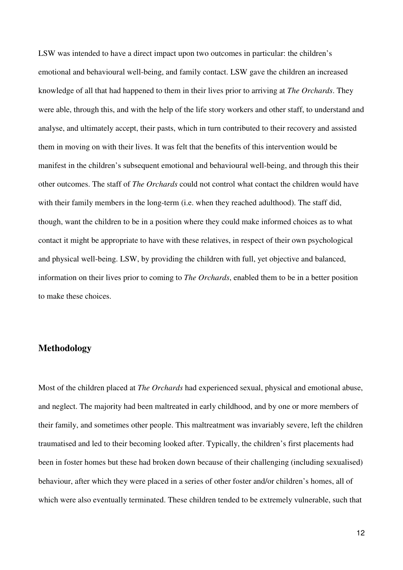LSW was intended to have a direct impact upon two outcomes in particular: the children's emotional and behavioural well-being, and family contact. LSW gave the children an increased knowledge of all that had happened to them in their lives prior to arriving at *The Orchards*. They were able, through this, and with the help of the life story workers and other staff, to understand and analyse, and ultimately accept, their pasts, which in turn contributed to their recovery and assisted them in moving on with their lives. It was felt that the benefits of this intervention would be manifest in the children's subsequent emotional and behavioural well-being, and through this their other outcomes. The staff of *The Orchards* could not control what contact the children would have with their family members in the long-term (i.e. when they reached adulthood). The staff did, though, want the children to be in a position where they could make informed choices as to what contact it might be appropriate to have with these relatives, in respect of their own psychological and physical well-being. LSW, by providing the children with full, yet objective and balanced, information on their lives prior to coming to *The Orchards*, enabled them to be in a better position to make these choices.

## **Methodology**

Most of the children placed at *The Orchards* had experienced sexual, physical and emotional abuse, and neglect. The majority had been maltreated in early childhood, and by one or more members of their family, and sometimes other people. This maltreatment was invariably severe, left the children traumatised and led to their becoming looked after. Typically, the children's first placements had been in foster homes but these had broken down because of their challenging (including sexualised) behaviour, after which they were placed in a series of other foster and/or children's homes, all of which were also eventually terminated. These children tended to be extremely vulnerable, such that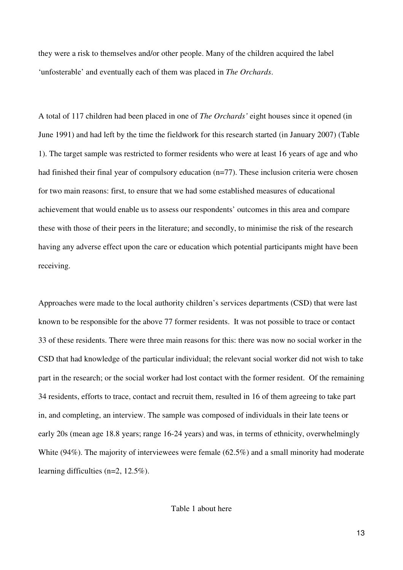they were a risk to themselves and/or other people. Many of the children acquired the label 'unfosterable' and eventually each of them was placed in *The Orchards*.

A total of 117 children had been placed in one of *The Orchards'* eight houses since it opened (in June 1991) and had left by the time the fieldwork for this research started (in January 2007) (Table 1). The target sample was restricted to former residents who were at least 16 years of age and who had finished their final year of compulsory education (n=77). These inclusion criteria were chosen for two main reasons: first, to ensure that we had some established measures of educational achievement that would enable us to assess our respondents' outcomes in this area and compare these with those of their peers in the literature; and secondly, to minimise the risk of the research having any adverse effect upon the care or education which potential participants might have been receiving.

Approaches were made to the local authority children's services departments (CSD) that were last known to be responsible for the above 77 former residents. It was not possible to trace or contact 33 of these residents. There were three main reasons for this: there was now no social worker in the CSD that had knowledge of the particular individual; the relevant social worker did not wish to take part in the research; or the social worker had lost contact with the former resident. Of the remaining 34 residents, efforts to trace, contact and recruit them, resulted in 16 of them agreeing to take part in, and completing, an interview. The sample was composed of individuals in their late teens or early 20s (mean age 18.8 years; range 16-24 years) and was, in terms of ethnicity, overwhelmingly White (94%). The majority of interviewees were female (62.5%) and a small minority had moderate learning difficulties (n=2, 12.5%).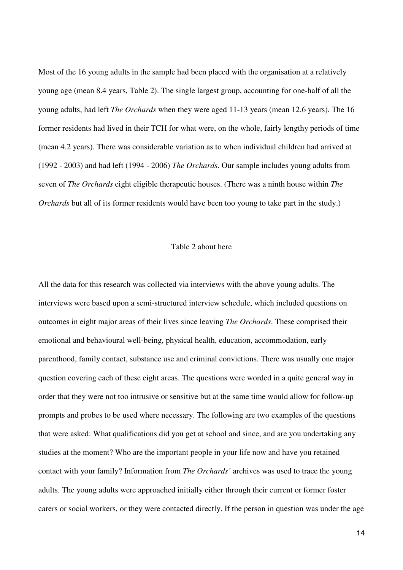Most of the 16 young adults in the sample had been placed with the organisation at a relatively young age (mean 8.4 years, Table 2). The single largest group, accounting for one-half of all the young adults, had left *The Orchards* when they were aged 11-13 years (mean 12.6 years). The 16 former residents had lived in their TCH for what were, on the whole, fairly lengthy periods of time (mean 4.2 years). There was considerable variation as to when individual children had arrived at (1992 - 2003) and had left (1994 - 2006) *The Orchards*. Our sample includes young adults from seven of *The Orchards* eight eligible therapeutic houses. (There was a ninth house within *The Orchards* but all of its former residents would have been too young to take part in the study.)

#### Table 2 about here

All the data for this research was collected via interviews with the above young adults. The interviews were based upon a semi-structured interview schedule, which included questions on outcomes in eight major areas of their lives since leaving *The Orchards*. These comprised their emotional and behavioural well-being, physical health, education, accommodation, early parenthood, family contact, substance use and criminal convictions. There was usually one major question covering each of these eight areas. The questions were worded in a quite general way in order that they were not too intrusive or sensitive but at the same time would allow for follow-up prompts and probes to be used where necessary. The following are two examples of the questions that were asked: What qualifications did you get at school and since, and are you undertaking any studies at the moment? Who are the important people in your life now and have you retained contact with your family? Information from *The Orchards'* archives was used to trace the young adults. The young adults were approached initially either through their current or former foster carers or social workers, or they were contacted directly. If the person in question was under the age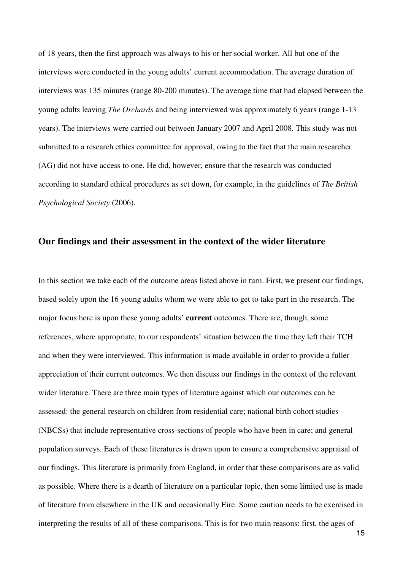of 18 years, then the first approach was always to his or her social worker. All but one of the interviews were conducted in the young adults' current accommodation. The average duration of interviews was 135 minutes (range 80-200 minutes). The average time that had elapsed between the young adults leaving *The Orchards* and being interviewed was approximately 6 years (range 1-13 years). The interviews were carried out between January 2007 and April 2008. This study was not submitted to a research ethics committee for approval, owing to the fact that the main researcher (AG) did not have access to one. He did, however, ensure that the research was conducted according to standard ethical procedures as set down, for example, in the guidelines of *The British Psychological Society* (2006).

## **Our findings and their assessment in the context of the wider literature**

In this section we take each of the outcome areas listed above in turn. First, we present our findings, based solely upon the 16 young adults whom we were able to get to take part in the research. The major focus here is upon these young adults' **current** outcomes. There are, though, some references, where appropriate, to our respondents' situation between the time they left their TCH and when they were interviewed. This information is made available in order to provide a fuller appreciation of their current outcomes. We then discuss our findings in the context of the relevant wider literature. There are three main types of literature against which our outcomes can be assessed: the general research on children from residential care; national birth cohort studies (NBCSs) that include representative cross-sections of people who have been in care; and general population surveys. Each of these literatures is drawn upon to ensure a comprehensive appraisal of our findings. This literature is primarily from England, in order that these comparisons are as valid as possible. Where there is a dearth of literature on a particular topic, then some limited use is made of literature from elsewhere in the UK and occasionally Eire. Some caution needs to be exercised in interpreting the results of all of these comparisons. This is for two main reasons: first, the ages of

15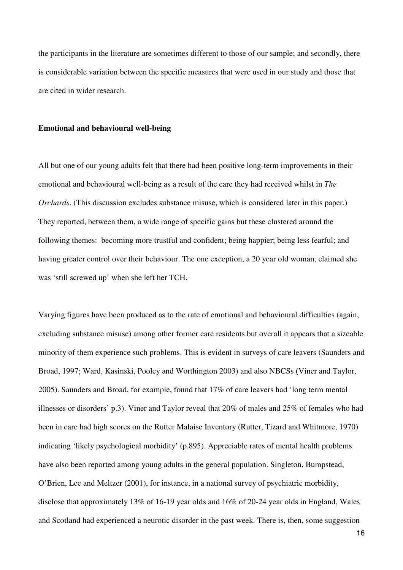the participants in the literature are sometimes different to those of our sample; and secondly, there is considerable variation between the specific measures that were used in our study and those that are cited in wider research.

#### **Emotional and behavioural well-being**

All but one of our young adults felt that there had been positive long-term improvements in their emotional and behavioural well-being as a result of the care they had received whilst in *The Orchards*. (This discussion excludes substance misuse, which is considered later in this paper.) They reported, between them, a wide range of specific gains but these clustered around the following themes: becoming more trustful and confident; being happier; being less fearful; and having greater control over their behaviour. The one exception, a 20 year old woman, claimed she was 'still screwed up' when she left her TCH.

Varying figures have been produced as to the rate of emotional and behavioural difficulties (again, excluding substance misuse) among other former care residents but overall it appears that a sizeable minority of them experience such problems. This is evident in surveys of care leavers (Saunders and Broad, 1997; Ward, Kasinski, Pooley and Worthington 2003) and also NBCSs (Viner and Taylor, 2005). Saunders and Broad, for example, found that 17% of care leavers had 'long term mental illnesses or disorders' p.3). Viner and Taylor reveal that 20% of males and 25% of females who had been in care had high scores on the Rutter Malaise Inventory (Rutter, Tizard and Whitmore, 1970) indicating 'likely psychological morbidity' (p.895). Appreciable rates of mental health problems have also been reported among young adults in the general population. Singleton, Bumpstead, O'Brien, Lee and Meltzer (2001), for instance, in a national survey of psychiatric morbidity, disclose that approximately 13% of 16-19 year olds and 16% of 20-24 year olds in England, Wales and Scotland had experienced a neurotic disorder in the past week. There is, then, some suggestion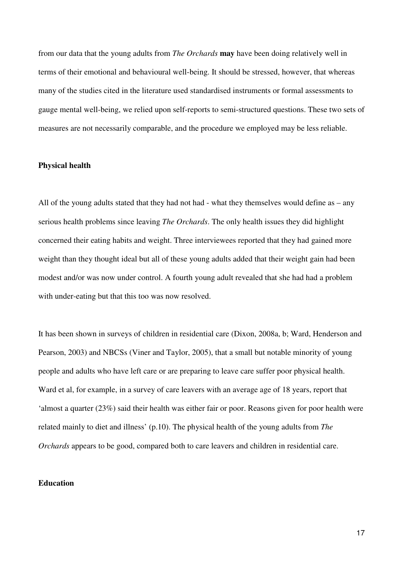from our data that the young adults from *The Orchards* **may** have been doing relatively well in terms of their emotional and behavioural well-being. It should be stressed, however, that whereas many of the studies cited in the literature used standardised instruments or formal assessments to gauge mental well-being, we relied upon self-reports to semi-structured questions. These two sets of measures are not necessarily comparable, and the procedure we employed may be less reliable.

#### **Physical health**

All of the young adults stated that they had not had - what they themselves would define as – any serious health problems since leaving *The Orchards*. The only health issues they did highlight concerned their eating habits and weight. Three interviewees reported that they had gained more weight than they thought ideal but all of these young adults added that their weight gain had been modest and/or was now under control. A fourth young adult revealed that she had had a problem with under-eating but that this too was now resolved.

It has been shown in surveys of children in residential care (Dixon, 2008a, b; Ward, Henderson and Pearson, 2003) and NBCSs (Viner and Taylor, 2005), that a small but notable minority of young people and adults who have left care or are preparing to leave care suffer poor physical health. Ward et al, for example, in a survey of care leavers with an average age of 18 years, report that 'almost a quarter (23%) said their health was either fair or poor. Reasons given for poor health were related mainly to diet and illness' (p.10). The physical health of the young adults from *The Orchards* appears to be good, compared both to care leavers and children in residential care.

#### **Education**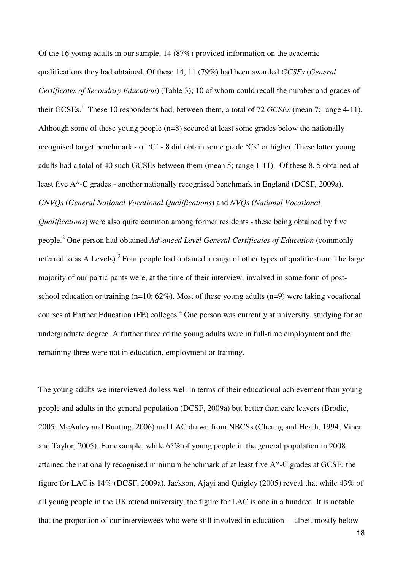Of the 16 young adults in our sample, 14 (87%) provided information on the academic qualifications they had obtained. Of these 14, 11 (79%) had been awarded *GCSEs* (*General Certificates of Secondary Education*) (Table 3); 10 of whom could recall the number and grades of their GCSEs.<sup>1</sup> These 10 respondents had, between them, a total of 72 *GCSEs* (mean 7; range 4-11). Although some of these young people (n=8) secured at least some grades below the nationally recognised target benchmark - of 'C' - 8 did obtain some grade 'Cs' or higher. These latter young adults had a total of 40 such GCSEs between them (mean 5; range 1-11). Of these 8, 5 obtained at least five A\*-C grades - another nationally recognised benchmark in England (DCSF, 2009a). *GNVQs* (*General National Vocational Qualifications*) and *NVQs* (*National Vocational Qualifications*) were also quite common among former residents - these being obtained by five people.<sup>2</sup> One person had obtained *Advanced Level General Certificates of Education* (commonly referred to as A Levels).<sup>3</sup> Four people had obtained a range of other types of qualification. The large majority of our participants were, at the time of their interview, involved in some form of postschool education or training (n=10;  $62\%$ ). Most of these young adults (n=9) were taking vocational courses at Further Education (FE) colleges.<sup>4</sup> One person was currently at university, studying for an undergraduate degree. A further three of the young adults were in full-time employment and the remaining three were not in education, employment or training.

The young adults we interviewed do less well in terms of their educational achievement than young people and adults in the general population (DCSF, 2009a) but better than care leavers (Brodie, 2005; McAuley and Bunting, 2006) and LAC drawn from NBCSs (Cheung and Heath, 1994; Viner and Taylor, 2005). For example, while 65% of young people in the general population in 2008 attained the nationally recognised minimum benchmark of at least five A\*-C grades at GCSE, the figure for LAC is 14% (DCSF, 2009a). Jackson, Ajayi and Quigley (2005) reveal that while 43% of all young people in the UK attend university, the figure for LAC is one in a hundred. It is notable that the proportion of our interviewees who were still involved in education – albeit mostly below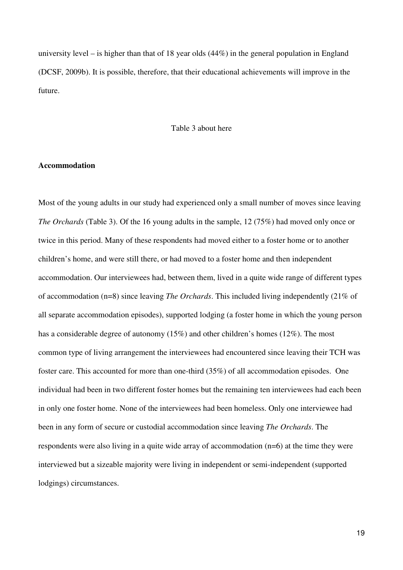university level – is higher than that of 18 year olds (44%) in the general population in England (DCSF, 2009b). It is possible, therefore, that their educational achievements will improve in the future.

#### Table 3 about here

#### **Accommodation**

Most of the young adults in our study had experienced only a small number of moves since leaving *The Orchards* (Table 3). Of the 16 young adults in the sample, 12 (75%) had moved only once or twice in this period. Many of these respondents had moved either to a foster home or to another children's home, and were still there, or had moved to a foster home and then independent accommodation. Our interviewees had, between them, lived in a quite wide range of different types of accommodation (n=8) since leaving *The Orchards*. This included living independently (21% of all separate accommodation episodes), supported lodging (a foster home in which the young person has a considerable degree of autonomy (15%) and other children's homes (12%). The most common type of living arrangement the interviewees had encountered since leaving their TCH was foster care. This accounted for more than one-third (35%) of all accommodation episodes. One individual had been in two different foster homes but the remaining ten interviewees had each been in only one foster home. None of the interviewees had been homeless. Only one interviewee had been in any form of secure or custodial accommodation since leaving *The Orchards*. The respondents were also living in a quite wide array of accommodation (n=6) at the time they were interviewed but a sizeable majority were living in independent or semi-independent (supported lodgings) circumstances.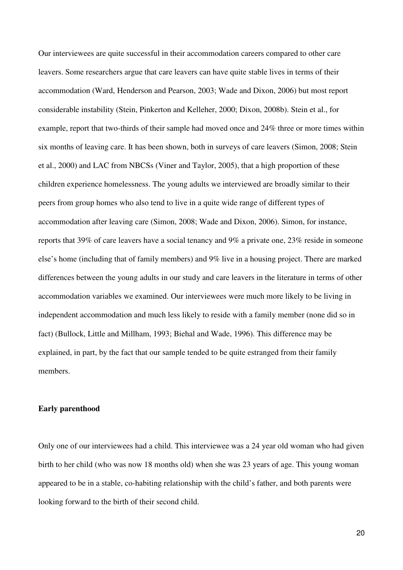Our interviewees are quite successful in their accommodation careers compared to other care leavers. Some researchers argue that care leavers can have quite stable lives in terms of their accommodation (Ward, Henderson and Pearson, 2003; Wade and Dixon, 2006) but most report considerable instability (Stein, Pinkerton and Kelleher, 2000; Dixon, 2008b). Stein et al., for example, report that two-thirds of their sample had moved once and 24% three or more times within six months of leaving care. It has been shown, both in surveys of care leavers (Simon, 2008; Stein et al., 2000) and LAC from NBCSs (Viner and Taylor, 2005), that a high proportion of these children experience homelessness. The young adults we interviewed are broadly similar to their peers from group homes who also tend to live in a quite wide range of different types of accommodation after leaving care (Simon, 2008; Wade and Dixon, 2006). Simon, for instance, reports that 39% of care leavers have a social tenancy and 9% a private one, 23% reside in someone else's home (including that of family members) and 9% live in a housing project. There are marked differences between the young adults in our study and care leavers in the literature in terms of other accommodation variables we examined. Our interviewees were much more likely to be living in independent accommodation and much less likely to reside with a family member (none did so in fact) (Bullock, Little and Millham, 1993; Biehal and Wade, 1996). This difference may be explained, in part, by the fact that our sample tended to be quite estranged from their family members.

#### **Early parenthood**

Only one of our interviewees had a child. This interviewee was a 24 year old woman who had given birth to her child (who was now 18 months old) when she was 23 years of age. This young woman appeared to be in a stable, co-habiting relationship with the child's father, and both parents were looking forward to the birth of their second child.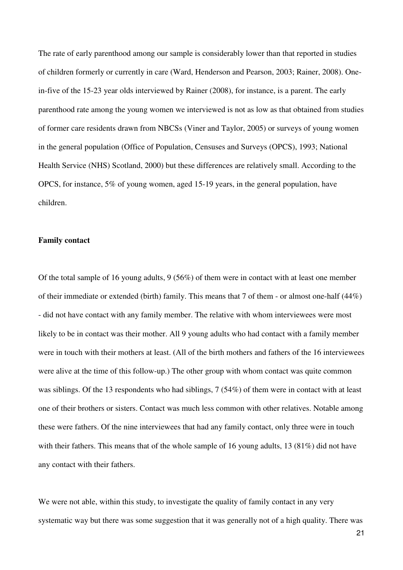The rate of early parenthood among our sample is considerably lower than that reported in studies of children formerly or currently in care (Ward, Henderson and Pearson, 2003; Rainer, 2008). Onein-five of the 15-23 year olds interviewed by Rainer (2008), for instance, is a parent. The early parenthood rate among the young women we interviewed is not as low as that obtained from studies of former care residents drawn from NBCSs (Viner and Taylor, 2005) or surveys of young women in the general population (Office of Population, Censuses and Surveys (OPCS), 1993; National Health Service (NHS) Scotland, 2000) but these differences are relatively small. According to the OPCS, for instance, 5% of young women, aged 15-19 years, in the general population, have children.

## **Family contact**

Of the total sample of 16 young adults, 9 (56%) of them were in contact with at least one member of their immediate or extended (birth) family. This means that 7 of them - or almost one-half (44%) - did not have contact with any family member. The relative with whom interviewees were most likely to be in contact was their mother. All 9 young adults who had contact with a family member were in touch with their mothers at least. (All of the birth mothers and fathers of the 16 interviewees were alive at the time of this follow-up.) The other group with whom contact was quite common was siblings. Of the 13 respondents who had siblings, 7 (54%) of them were in contact with at least one of their brothers or sisters. Contact was much less common with other relatives. Notable among these were fathers. Of the nine interviewees that had any family contact, only three were in touch with their fathers. This means that of the whole sample of 16 young adults, 13 (81%) did not have any contact with their fathers.

We were not able, within this study, to investigate the quality of family contact in any very systematic way but there was some suggestion that it was generally not of a high quality. There was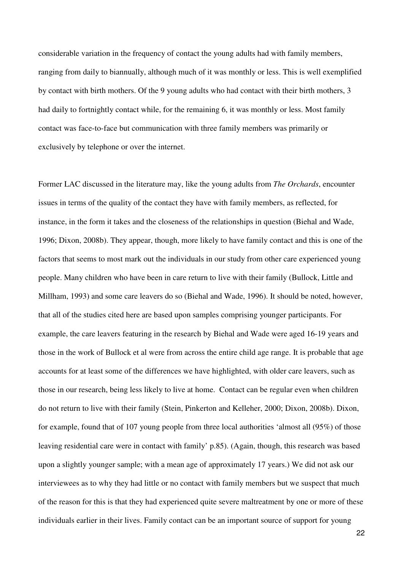considerable variation in the frequency of contact the young adults had with family members, ranging from daily to biannually, although much of it was monthly or less. This is well exemplified by contact with birth mothers. Of the 9 young adults who had contact with their birth mothers, 3 had daily to fortnightly contact while, for the remaining 6, it was monthly or less. Most family contact was face-to-face but communication with three family members was primarily or exclusively by telephone or over the internet.

Former LAC discussed in the literature may, like the young adults from *The Orchards*, encounter issues in terms of the quality of the contact they have with family members, as reflected, for instance, in the form it takes and the closeness of the relationships in question (Biehal and Wade, 1996; Dixon, 2008b). They appear, though, more likely to have family contact and this is one of the factors that seems to most mark out the individuals in our study from other care experienced young people. Many children who have been in care return to live with their family (Bullock, Little and Millham, 1993) and some care leavers do so (Biehal and Wade, 1996). It should be noted, however, that all of the studies cited here are based upon samples comprising younger participants. For example, the care leavers featuring in the research by Biehal and Wade were aged 16-19 years and those in the work of Bullock et al were from across the entire child age range. It is probable that age accounts for at least some of the differences we have highlighted, with older care leavers, such as those in our research, being less likely to live at home. Contact can be regular even when children do not return to live with their family (Stein, Pinkerton and Kelleher, 2000; Dixon, 2008b). Dixon, for example, found that of 107 young people from three local authorities 'almost all (95%) of those leaving residential care were in contact with family' p.85). (Again, though, this research was based upon a slightly younger sample; with a mean age of approximately 17 years.) We did not ask our interviewees as to why they had little or no contact with family members but we suspect that much of the reason for this is that they had experienced quite severe maltreatment by one or more of these individuals earlier in their lives. Family contact can be an important source of support for young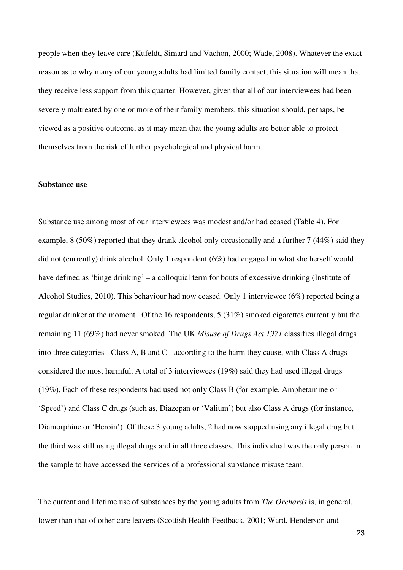people when they leave care (Kufeldt, Simard and Vachon, 2000; Wade, 2008). Whatever the exact reason as to why many of our young adults had limited family contact, this situation will mean that they receive less support from this quarter. However, given that all of our interviewees had been severely maltreated by one or more of their family members, this situation should, perhaps, be viewed as a positive outcome, as it may mean that the young adults are better able to protect themselves from the risk of further psychological and physical harm.

#### **Substance use**

Substance use among most of our interviewees was modest and/or had ceased (Table 4). For example, 8 (50%) reported that they drank alcohol only occasionally and a further 7 (44%) said they did not (currently) drink alcohol. Only 1 respondent (6%) had engaged in what she herself would have defined as 'binge drinking' – a colloquial term for bouts of excessive drinking (Institute of Alcohol Studies, 2010). This behaviour had now ceased. Only 1 interviewee (6%) reported being a regular drinker at the moment. Of the 16 respondents, 5 (31%) smoked cigarettes currently but the remaining 11 (69%) had never smoked. The UK *Misuse of Drugs Act 1971* classifies illegal drugs into three categories - Class A, B and C - according to the harm they cause, with Class A drugs considered the most harmful. A total of 3 interviewees (19%) said they had used illegal drugs (19%). Each of these respondents had used not only Class B (for example, Amphetamine or 'Speed') and Class C drugs (such as, Diazepan or 'Valium') but also Class A drugs (for instance, Diamorphine or 'Heroin'). Of these 3 young adults, 2 had now stopped using any illegal drug but the third was still using illegal drugs and in all three classes. This individual was the only person in the sample to have accessed the services of a professional substance misuse team.

The current and lifetime use of substances by the young adults from *The Orchards* is, in general, lower than that of other care leavers (Scottish Health Feedback, 2001; Ward, Henderson and

23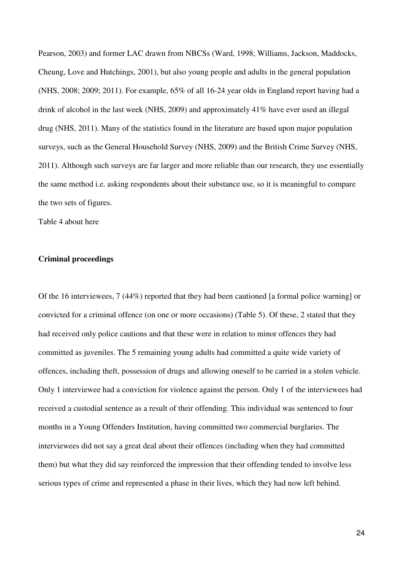Pearson, 2003) and former LAC drawn from NBCSs (Ward, 1998; Williams, Jackson, Maddocks, Cheung, Love and Hutchings, 2001), but also young people and adults in the general population (NHS, 2008; 2009; 2011). For example, 65% of all 16-24 year olds in England report having had a drink of alcohol in the last week (NHS, 2009) and approximately 41% have ever used an illegal drug (NHS, 2011). Many of the statistics found in the literature are based upon major population surveys, such as the General Household Survey (NHS, 2009) and the British Crime Survey (NHS, 2011). Although such surveys are far larger and more reliable than our research, they use essentially the same method i.e. asking respondents about their substance use, so it is meaningful to compare the two sets of figures.

Table 4 about here

#### **Criminal proceedings**

Of the 16 interviewees, 7 (44%) reported that they had been cautioned [a formal police warning] or convicted for a criminal offence (on one or more occasions) (Table 5). Of these, 2 stated that they had received only police cautions and that these were in relation to minor offences they had committed as juveniles. The 5 remaining young adults had committed a quite wide variety of offences, including theft, possession of drugs and allowing oneself to be carried in a stolen vehicle. Only 1 interviewee had a conviction for violence against the person. Only 1 of the interviewees had received a custodial sentence as a result of their offending. This individual was sentenced to four months in a Young Offenders Institution, having committed two commercial burglaries. The interviewees did not say a great deal about their offences (including when they had committed them) but what they did say reinforced the impression that their offending tended to involve less serious types of crime and represented a phase in their lives, which they had now left behind.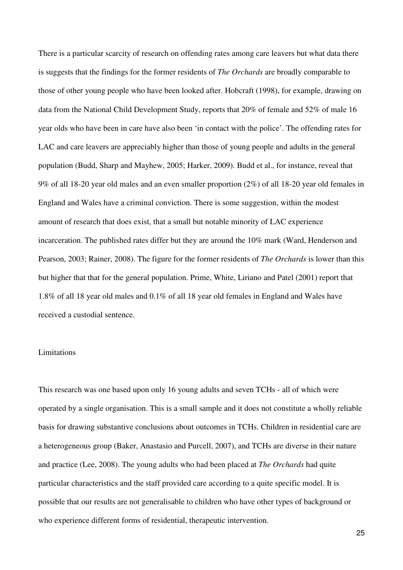There is a particular scarcity of research on offending rates among care leavers but what data there is suggests that the findings for the former residents of *The Orchards* are broadly comparable to those of other young people who have been looked after. Hobcraft (1998), for example, drawing on data from the National Child Development Study, reports that 20% of female and 52% of male 16 year olds who have been in care have also been 'in contact with the police'. The offending rates for LAC and care leavers are appreciably higher than those of young people and adults in the general population (Budd, Sharp and Mayhew, 2005; Harker, 2009). Budd et al., for instance, reveal that 9% of all 18-20 year old males and an even smaller proportion (2%) of all 18-20 year old females in England and Wales have a criminal conviction. There is some suggestion, within the modest amount of research that does exist, that a small but notable minority of LAC experience incarceration. The published rates differ but they are around the 10% mark (Ward, Henderson and Pearson, 2003; Rainer, 2008). The figure for the former residents of *The Orchards* is lower than this but higher that that for the general population. Prime, White, Liriano and Patel (2001) report that 1.8% of all 18 year old males and 0.1% of all 18 year old females in England and Wales have received a custodial sentence.

### Limitations

This research was one based upon only 16 young adults and seven TCHs - all of which were operated by a single organisation. This is a small sample and it does not constitute a wholly reliable basis for drawing substantive conclusions about outcomes in TCHs. Children in residential care are a heterogeneous group (Baker, Anastasio and Purcell, 2007), and TCHs are diverse in their nature and practice (Lee, 2008). The young adults who had been placed at *The Orchards* had quite particular characteristics and the staff provided care according to a quite specific model. It is possible that our results are not generalisable to children who have other types of background or who experience different forms of residential, therapeutic intervention.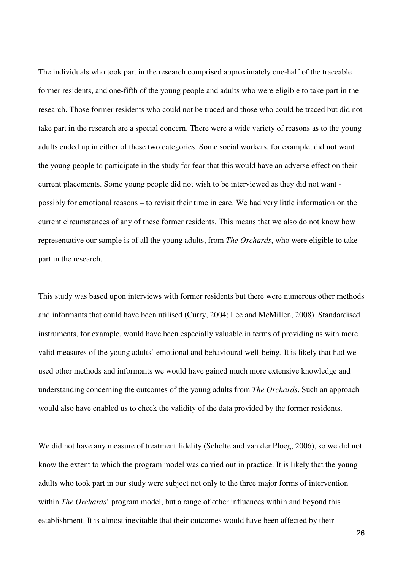The individuals who took part in the research comprised approximately one-half of the traceable former residents, and one-fifth of the young people and adults who were eligible to take part in the research. Those former residents who could not be traced and those who could be traced but did not take part in the research are a special concern. There were a wide variety of reasons as to the young adults ended up in either of these two categories. Some social workers, for example, did not want the young people to participate in the study for fear that this would have an adverse effect on their current placements. Some young people did not wish to be interviewed as they did not want possibly for emotional reasons – to revisit their time in care. We had very little information on the current circumstances of any of these former residents. This means that we also do not know how representative our sample is of all the young adults, from *The Orchards*, who were eligible to take part in the research.

This study was based upon interviews with former residents but there were numerous other methods and informants that could have been utilised (Curry, 2004; Lee and McMillen, 2008). Standardised instruments, for example, would have been especially valuable in terms of providing us with more valid measures of the young adults' emotional and behavioural well-being. It is likely that had we used other methods and informants we would have gained much more extensive knowledge and understanding concerning the outcomes of the young adults from *The Orchards*. Such an approach would also have enabled us to check the validity of the data provided by the former residents.

We did not have any measure of treatment fidelity (Scholte and van der Ploeg, 2006), so we did not know the extent to which the program model was carried out in practice. It is likely that the young adults who took part in our study were subject not only to the three major forms of intervention within *The Orchards*' program model, but a range of other influences within and beyond this establishment. It is almost inevitable that their outcomes would have been affected by their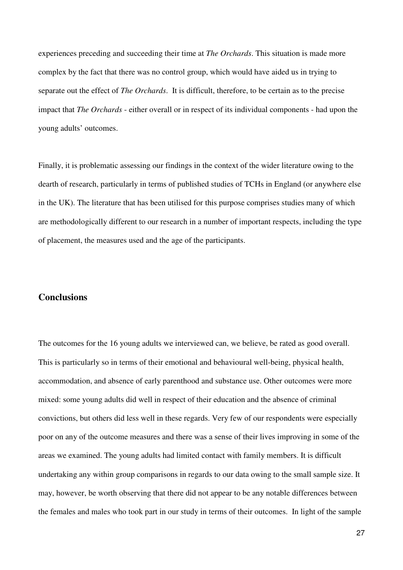experiences preceding and succeeding their time at *The Orchards*. This situation is made more complex by the fact that there was no control group, which would have aided us in trying to separate out the effect of *The Orchards*. It is difficult, therefore, to be certain as to the precise impact that *The Orchards* - either overall or in respect of its individual components - had upon the young adults' outcomes.

Finally, it is problematic assessing our findings in the context of the wider literature owing to the dearth of research, particularly in terms of published studies of TCHs in England (or anywhere else in the UK). The literature that has been utilised for this purpose comprises studies many of which are methodologically different to our research in a number of important respects, including the type of placement, the measures used and the age of the participants.

## **Conclusions**

The outcomes for the 16 young adults we interviewed can, we believe, be rated as good overall. This is particularly so in terms of their emotional and behavioural well-being, physical health, accommodation, and absence of early parenthood and substance use. Other outcomes were more mixed: some young adults did well in respect of their education and the absence of criminal convictions, but others did less well in these regards. Very few of our respondents were especially poor on any of the outcome measures and there was a sense of their lives improving in some of the areas we examined. The young adults had limited contact with family members. It is difficult undertaking any within group comparisons in regards to our data owing to the small sample size. It may, however, be worth observing that there did not appear to be any notable differences between the females and males who took part in our study in terms of their outcomes. In light of the sample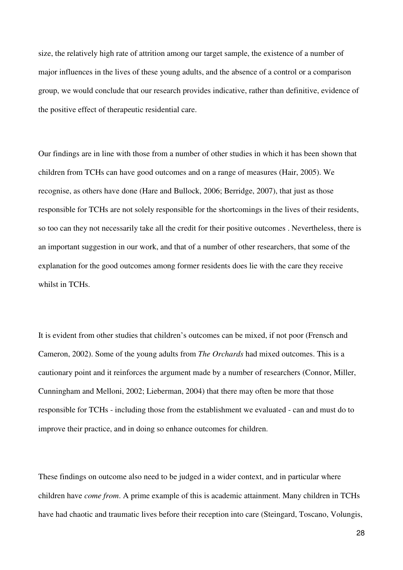size, the relatively high rate of attrition among our target sample, the existence of a number of major influences in the lives of these young adults, and the absence of a control or a comparison group, we would conclude that our research provides indicative, rather than definitive, evidence of the positive effect of therapeutic residential care.

Our findings are in line with those from a number of other studies in which it has been shown that children from TCHs can have good outcomes and on a range of measures (Hair, 2005). We recognise, as others have done (Hare and Bullock, 2006; Berridge, 2007), that just as those responsible for TCHs are not solely responsible for the shortcomings in the lives of their residents, so too can they not necessarily take all the credit for their positive outcomes . Nevertheless, there is an important suggestion in our work, and that of a number of other researchers, that some of the explanation for the good outcomes among former residents does lie with the care they receive whilst in TCHs.

It is evident from other studies that children's outcomes can be mixed, if not poor (Frensch and Cameron, 2002). Some of the young adults from *The Orchards* had mixed outcomes. This is a cautionary point and it reinforces the argument made by a number of researchers (Connor, Miller, Cunningham and Melloni, 2002; Lieberman, 2004) that there may often be more that those responsible for TCHs - including those from the establishment we evaluated - can and must do to improve their practice, and in doing so enhance outcomes for children.

These findings on outcome also need to be judged in a wider context, and in particular where children have *come from*. A prime example of this is academic attainment. Many children in TCHs have had chaotic and traumatic lives before their reception into care (Steingard, Toscano, Volungis,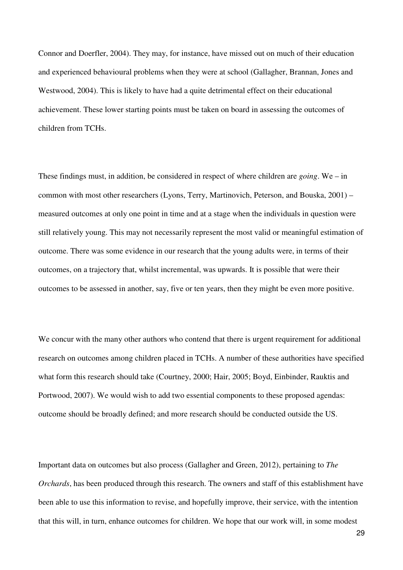Connor and Doerfler, 2004). They may, for instance, have missed out on much of their education and experienced behavioural problems when they were at school (Gallagher, Brannan, Jones and Westwood, 2004). This is likely to have had a quite detrimental effect on their educational achievement. These lower starting points must be taken on board in assessing the outcomes of children from TCHs.

These findings must, in addition, be considered in respect of where children are *going*. We – in common with most other researchers (Lyons, Terry, Martinovich, Peterson, and Bouska, 2001) – measured outcomes at only one point in time and at a stage when the individuals in question were still relatively young. This may not necessarily represent the most valid or meaningful estimation of outcome. There was some evidence in our research that the young adults were, in terms of their outcomes, on a trajectory that, whilst incremental, was upwards. It is possible that were their outcomes to be assessed in another, say, five or ten years, then they might be even more positive.

We concur with the many other authors who contend that there is urgent requirement for additional research on outcomes among children placed in TCHs. A number of these authorities have specified what form this research should take (Courtney, 2000; Hair, 2005; Boyd, Einbinder, Rauktis and Portwood, 2007). We would wish to add two essential components to these proposed agendas: outcome should be broadly defined; and more research should be conducted outside the US.

Important data on outcomes but also process (Gallagher and Green, 2012), pertaining to *The Orchards*, has been produced through this research. The owners and staff of this establishment have been able to use this information to revise, and hopefully improve, their service, with the intention that this will, in turn, enhance outcomes for children. We hope that our work will, in some modest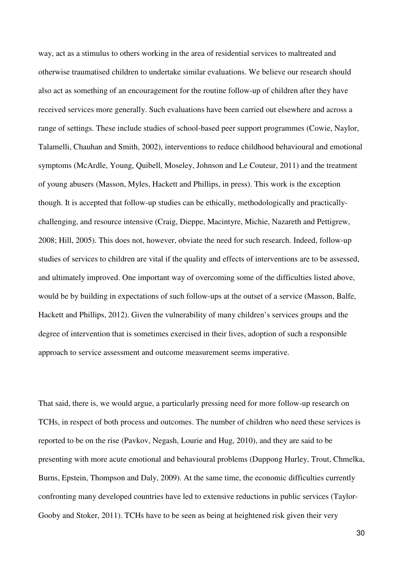way, act as a stimulus to others working in the area of residential services to maltreated and otherwise traumatised children to undertake similar evaluations. We believe our research should also act as something of an encouragement for the routine follow-up of children after they have received services more generally. Such evaluations have been carried out elsewhere and across a range of settings. These include studies of school-based peer support programmes (Cowie, Naylor, Talamelli, Chauhan and Smith, 2002), interventions to reduce childhood behavioural and emotional symptoms (McArdle, Young, Quibell, Moseley, Johnson and Le Couteur, 2011) and the treatment of young abusers (Masson, Myles, Hackett and Phillips, in press). This work is the exception though. It is accepted that follow-up studies can be ethically, methodologically and practicallychallenging, and resource intensive (Craig, Dieppe, Macintyre, Michie, Nazareth and Pettigrew, 2008; Hill, 2005). This does not, however, obviate the need for such research. Indeed, follow-up studies of services to children are vital if the quality and effects of interventions are to be assessed, and ultimately improved. One important way of overcoming some of the difficulties listed above, would be by building in expectations of such follow-ups at the outset of a service (Masson, Balfe, Hackett and Phillips, 2012). Given the vulnerability of many children's services groups and the degree of intervention that is sometimes exercised in their lives, adoption of such a responsible approach to service assessment and outcome measurement seems imperative.

That said, there is, we would argue, a particularly pressing need for more follow-up research on TCHs, in respect of both process and outcomes. The number of children who need these services is reported to be on the rise (Pavkov, Negash, Lourie and Hug, 2010), and they are said to be presenting with more acute emotional and behavioural problems (Duppong Hurley, Trout, Chmelka, Burns, Epstein, Thompson and Daly, 2009). At the same time, the economic difficulties currently confronting many developed countries have led to extensive reductions in public services (Taylor-Gooby and Stoker, 2011). TCHs have to be seen as being at heightened risk given their very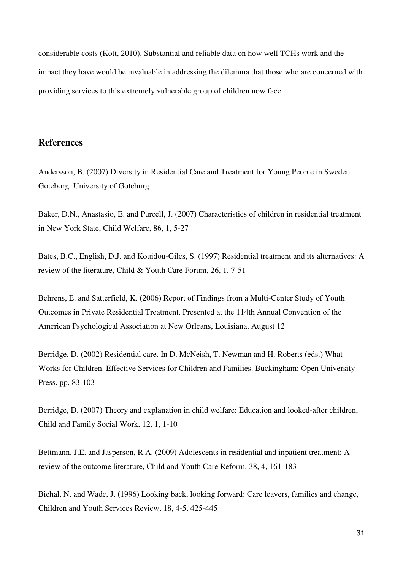considerable costs (Kott, 2010). Substantial and reliable data on how well TCHs work and the impact they have would be invaluable in addressing the dilemma that those who are concerned with providing services to this extremely vulnerable group of children now face.

## **References**

Andersson, B. (2007) Diversity in Residential Care and Treatment for Young People in Sweden. Goteborg: University of Goteburg

Baker, D.N., Anastasio, E. and Purcell, J. (2007) Characteristics of children in residential treatment in New York State, Child Welfare, 86, 1, 5-27

Bates, B.C., English, D.J. and Kouidou-Giles, S. (1997) Residential treatment and its alternatives: A review of the literature, Child & Youth Care Forum, 26, 1, 7-51

Behrens, E. and Satterfield, K. (2006) Report of Findings from a Multi-Center Study of Youth Outcomes in Private Residential Treatment. Presented at the 114th Annual Convention of the American Psychological Association at New Orleans, Louisiana, August 12

Berridge, D. (2002) Residential care. In D. McNeish, T. Newman and H. Roberts (eds.) What Works for Children. Effective Services for Children and Families. Buckingham: Open University Press. pp. 83-103

Berridge, D. (2007) Theory and explanation in child welfare: Education and looked-after children, Child and Family Social Work, 12, 1, 1-10

Bettmann, J.E. and Jasperson, R.A. (2009) Adolescents in residential and inpatient treatment: A review of the outcome literature, Child and Youth Care Reform, 38, 4, 161-183

Biehal, N. and Wade, J. (1996) Looking back, looking forward: Care leavers, families and change, Children and Youth Services Review, 18, 4-5, 425-445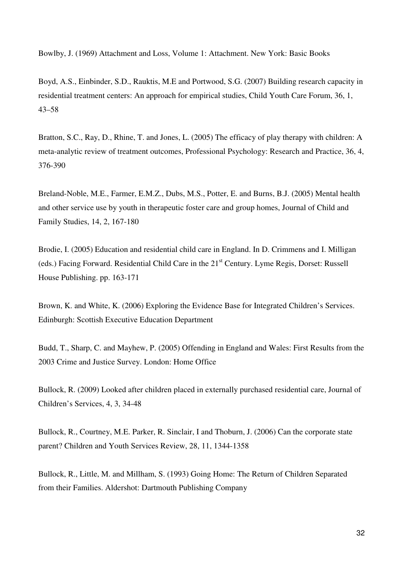Bowlby, J. (1969) Attachment and Loss, Volume 1: Attachment. New York: Basic Books

Boyd, A.S., Einbinder, S.D., Rauktis, M.E and Portwood, S.G. (2007) Building research capacity in residential treatment centers: An approach for empirical studies, Child Youth Care Forum, 36, 1, 43–58

Bratton, S.C., Ray, D., Rhine, T. and Jones, L. (2005) The efficacy of play therapy with children: A meta-analytic review of treatment outcomes, Professional Psychology: Research and Practice, 36, 4, 376-390

Breland-Noble, M.E., Farmer, E.M.Z., Dubs, M.S., Potter, E. and Burns, B.J. (2005) Mental health and other service use by youth in therapeutic foster care and group homes, Journal of Child and Family Studies, 14, 2, 167-180

Brodie, I. (2005) Education and residential child care in England. In D. Crimmens and I. Milligan (eds.) Facing Forward. Residential Child Care in the 21st Century. Lyme Regis, Dorset: Russell House Publishing. pp. 163-171

Brown, K. and White, K. (2006) Exploring the Evidence Base for Integrated Children's Services. Edinburgh: Scottish Executive Education Department

Budd, T., Sharp, C. and Mayhew, P. (2005) Offending in England and Wales: First Results from the 2003 Crime and Justice Survey. London: Home Office

Bullock, R. (2009) Looked after children placed in externally purchased residential care, Journal of Children's Services, 4, 3, 34-48

Bullock, R., Courtney, M.E. Parker, R. Sinclair, I and Thoburn, J. (2006) Can the corporate state parent? Children and Youth Services Review, 28, 11, 1344-1358

Bullock, R., Little, M. and Millham, S. (1993) Going Home: The Return of Children Separated from their Families. Aldershot: Dartmouth Publishing Company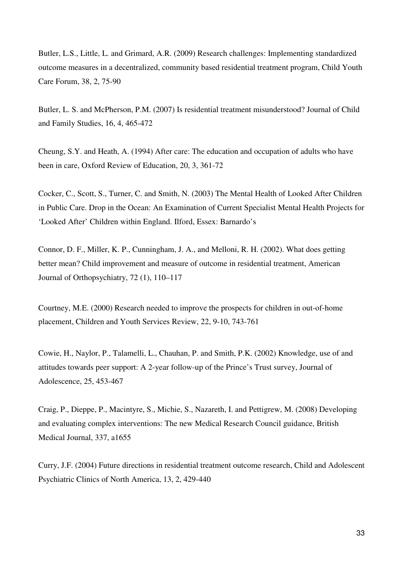Butler, L.S., Little, L. and Grimard, A.R. (2009) Research challenges: Implementing standardized outcome measures in a decentralized, community based residential treatment program, Child Youth Care Forum, 38, 2, 75-90

Butler, L. S. and McPherson, P.M. (2007) Is residential treatment misunderstood? Journal of Child and Family Studies, 16, 4, 465-472

Cheung, S.Y. and Heath, A. (1994) After care: The education and occupation of adults who have been in care, Oxford Review of Education, 20, 3, 361-72

Cocker, C., Scott, S., Turner, C. and Smith, N. (2003) The Mental Health of Looked After Children in Public Care. Drop in the Ocean: An Examination of Current Specialist Mental Health Projects for 'Looked After' Children within England. Ilford, Essex: Barnardo's

Connor, D. F., Miller, K. P., Cunningham, J. A., and Melloni, R. H. (2002). What does getting better mean? Child improvement and measure of outcome in residential treatment, American Journal of Orthopsychiatry, 72 (1), 110–117

Courtney, M.E. (2000) Research needed to improve the prospects for children in out-of-home placement, Children and Youth Services Review, 22, 9-10, 743-761

Cowie, H., Naylor, P., Talamelli, L., Chauhan, P. and Smith, P.K. (2002) Knowledge, use of and attitudes towards peer support: A 2-year follow-up of the Prince's Trust survey, Journal of Adolescence, 25, 453-467

Craig, P., Dieppe, P., Macintyre, S., Michie, S., Nazareth, I. and Pettigrew, M. (2008) Developing and evaluating complex interventions: The new Medical Research Council guidance, British Medical Journal, 337, a1655

Curry, J.F. (2004) Future directions in residential treatment outcome research, Child and Adolescent Psychiatric Clinics of North America, 13, 2, 429-440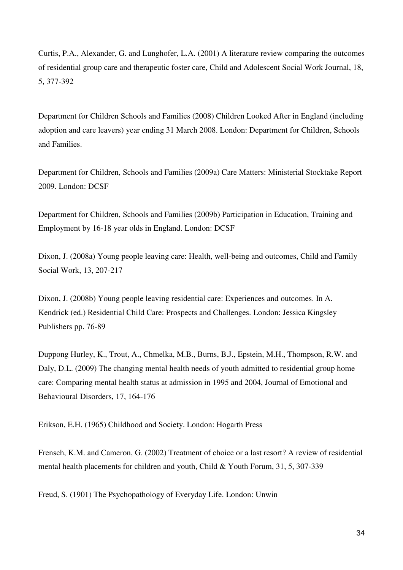Curtis, P.A., Alexander, G. and Lunghofer, L.A. (2001) A literature review comparing the outcomes of residential group care and therapeutic foster care, Child and Adolescent Social Work Journal, 18, 5, 377-392

Department for Children Schools and Families (2008) Children Looked After in England (including adoption and care leavers) year ending 31 March 2008. London: Department for Children, Schools and Families.

Department for Children, Schools and Families (2009a) Care Matters: Ministerial Stocktake Report 2009. London: DCSF

Department for Children, Schools and Families (2009b) Participation in Education, Training and Employment by 16-18 year olds in England. London: DCSF

Dixon, J. (2008a) Young people leaving care: Health, well-being and outcomes, Child and Family Social Work, 13, 207-217

Dixon, J. (2008b) Young people leaving residential care: Experiences and outcomes. In A. Kendrick (ed.) Residential Child Care: Prospects and Challenges. London: Jessica Kingsley Publishers pp. 76-89

Duppong Hurley, K., Trout, A., Chmelka, M.B., Burns, B.J., Epstein, M.H., Thompson, R.W. and Daly, D.L. (2009) The changing mental health needs of youth admitted to residential group home care: Comparing mental health status at admission in 1995 and 2004, Journal of Emotional and Behavioural Disorders, 17, 164-176

Erikson, E.H. (1965) Childhood and Society. London: Hogarth Press

Frensch, K.M. and Cameron, G. (2002) Treatment of choice or a last resort? A review of residential mental health placements for children and youth, Child & Youth Forum, 31, 5, 307-339

Freud, S. (1901) The Psychopathology of Everyday Life. London: Unwin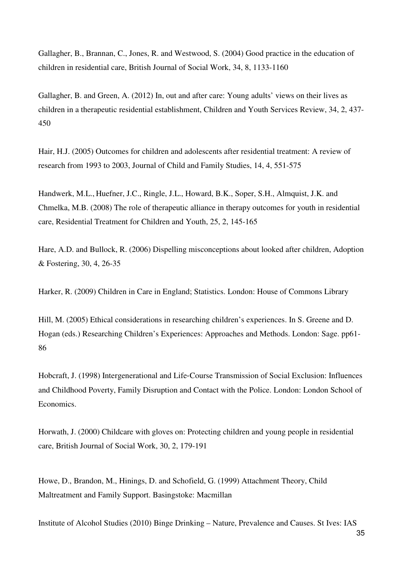Gallagher, B., Brannan, C., Jones, R. and Westwood, S. (2004) Good practice in the education of children in residential care, British Journal of Social Work, 34, 8, 1133-1160

Gallagher, B. and Green, A. (2012) In, out and after care: Young adults' views on their lives as children in a therapeutic residential establishment, Children and Youth Services Review, 34, 2, 437- 450

Hair, H.J. (2005) Outcomes for children and adolescents after residential treatment: A review of research from 1993 to 2003, Journal of Child and Family Studies, 14, 4, 551-575

Handwerk, M.L., Huefner, J.C., Ringle, J.L., Howard, B.K., Soper, S.H., Almquist, J.K. and Chmelka, M.B. (2008) The role of therapeutic alliance in therapy outcomes for youth in residential care, Residential Treatment for Children and Youth, 25, 2, 145-165

Hare, A.D. and Bullock, R. (2006) Dispelling misconceptions about looked after children, Adoption & Fostering, 30, 4, 26-35

Harker, R. (2009) Children in Care in England; Statistics. London: House of Commons Library

Hill, M. (2005) Ethical considerations in researching children's experiences. In S. Greene and D. Hogan (eds.) Researching Children's Experiences: Approaches and Methods. London: Sage. pp61- 86

Hobcraft, J. (1998) Intergenerational and Life‐Course Transmission of Social Exclusion: Influences and Childhood Poverty, Family Disruption and Contact with the Police. London: London School of Economics.

Horwath, J. (2000) Childcare with gloves on: Protecting children and young people in residential care, British Journal of Social Work, 30, 2, 179-191

Howe, D., Brandon, M., Hinings, D. and Schofield, G. (1999) Attachment Theory, Child Maltreatment and Family Support. Basingstoke: Macmillan

Institute of Alcohol Studies (2010) Binge Drinking – Nature, Prevalence and Causes. St Ives: IAS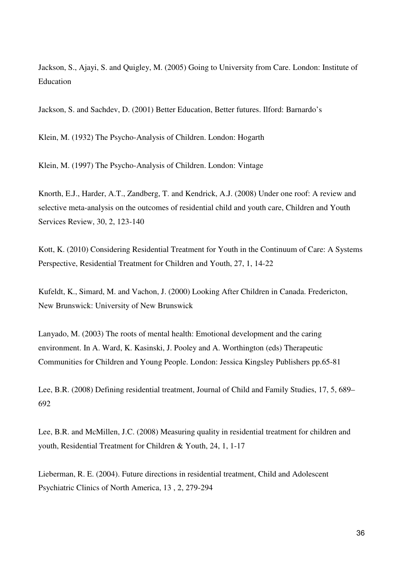Jackson, S., Ajayi, S. and Quigley, M. (2005) Going to University from Care. London: Institute of Education

Jackson, S. and Sachdev, D. (2001) Better Education, Better futures. Ilford: Barnardo's

Klein, M. (1932) The Psycho-Analysis of Children. London: Hogarth

Klein, M. (1997) The Psycho-Analysis of Children. London: Vintage

Knorth, E.J., Harder, A.T., Zandberg, T. and Kendrick, A.J. (2008) Under one roof: A review and selective meta-analysis on the outcomes of residential child and youth care, Children and Youth Services Review, 30, 2, 123-140

Kott, K. (2010) Considering Residential Treatment for Youth in the Continuum of Care: A Systems Perspective, Residential Treatment for Children and Youth, 27, 1, 14-22

Kufeldt, K., Simard, M. and Vachon, J. (2000) Looking After Children in Canada. Fredericton, New Brunswick: University of New Brunswick

Lanyado, M. (2003) The roots of mental health: Emotional development and the caring environment. In A. Ward, K. Kasinski, J. Pooley and A. Worthington (eds) Therapeutic Communities for Children and Young People. London: Jessica Kingsley Publishers pp.65-81

Lee, B.R. (2008) Defining residential treatment, Journal of Child and Family Studies, 17, 5, 689– 692

Lee, B.R. and McMillen, J.C. (2008) Measuring quality in residential treatment for children and youth, Residential Treatment for Children & Youth, 24, 1, 1-17

Lieberman, R. E. (2004). Future directions in residential treatment, Child and Adolescent Psychiatric Clinics of North America, 13 , 2, 279-294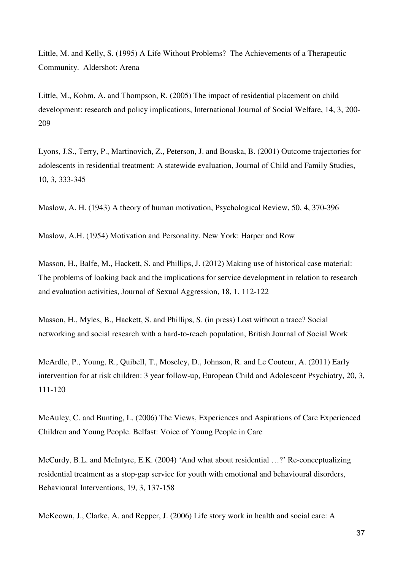Little, M. and Kelly, S. (1995) A Life Without Problems? The Achievements of a Therapeutic Community. Aldershot: Arena

Little, M., Kohm, A. and Thompson, R. (2005) The impact of residential placement on child development: research and policy implications, International Journal of Social Welfare, 14, 3, 200- 209

Lyons, J.S., Terry, P., Martinovich, Z., Peterson, J. and Bouska, B. (2001) Outcome trajectories for adolescents in residential treatment: A statewide evaluation, Journal of Child and Family Studies, 10, 3, 333-345

Maslow, A. H. (1943) A theory of human motivation, Psychological Review, 50, 4, 370-396

Maslow, A.H. (1954) Motivation and Personality. New York: Harper and Row

Masson, H., Balfe, M., Hackett, S. and Phillips, J. (2012) Making use of historical case material: The problems of looking back and the implications for service development in relation to research and evaluation activities, Journal of Sexual Aggression, 18, 1, 112-122

Masson, H., Myles, B., Hackett, S. and Phillips, S. (in press) Lost without a trace? Social networking and social research with a hard-to-reach population, British Journal of Social Work

McArdle, P., Young, R., Quibell, T., Moseley, D., Johnson, R. and Le Couteur, A. (2011) Early intervention for at risk children: 3 year follow-up, European Child and Adolescent Psychiatry, 20, 3, 111-120

McAuley, C. and Bunting, L. (2006) The Views, Experiences and Aspirations of Care Experienced Children and Young People. Belfast: Voice of Young People in Care

McCurdy, B.L. and McIntyre, E.K. (2004) 'And what about residential …?' Re-conceptualizing residential treatment as a stop-gap service for youth with emotional and behavioural disorders, Behavioural Interventions, 19, 3, 137-158

McKeown, J., Clarke, A. and Repper, J. (2006) Life story work in health and social care: A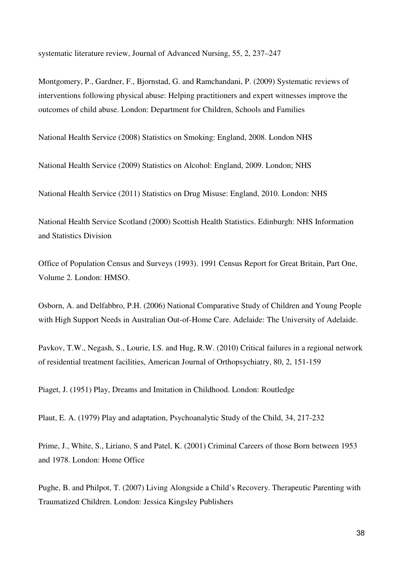systematic literature review, Journal of Advanced Nursing, 55, 2, 237–247

Montgomery, P., Gardner, F., Bjornstad, G. and Ramchandani, P. (2009) Systematic reviews of interventions following physical abuse: Helping practitioners and expert witnesses improve the outcomes of child abuse. London: Department for Children, Schools and Families

National Health Service (2008) Statistics on Smoking: England, 2008. London NHS

National Health Service (2009) Statistics on Alcohol: England, 2009. London; NHS

National Health Service (2011) Statistics on Drug Misuse: England, 2010. London: NHS

National Health Service Scotland (2000) Scottish Health Statistics. Edinburgh: NHS Information and Statistics Division

Office of Population Census and Surveys (1993). 1991 Census Report for Great Britain, Part One, Volume 2. London: HMSO.

Osborn, A. and Delfabbro, P.H. (2006) National Comparative Study of Children and Young People with High Support Needs in Australian Out-of-Home Care. Adelaide: The University of Adelaide.

Pavkov, T.W., Negash, S., Lourie, I.S. and Hug, R.W. (2010) Critical failures in a regional network of residential treatment facilities, American Journal of Orthopsychiatry, 80, 2, 151-159

Piaget, J. (1951) Play, Dreams and Imitation in Childhood. London: Routledge

Plaut, E. A. (1979) Play and adaptation, Psychoanalytic Study of the Child, 34, 217-232

Prime, J., White, S., Liriano, S and Patel, K. (2001) Criminal Careers of those Born between 1953 and 1978. London: Home Office

Pughe, B. and Philpot, T. (2007) Living Alongside a Child's Recovery. Therapeutic Parenting with Traumatized Children. London: Jessica Kingsley Publishers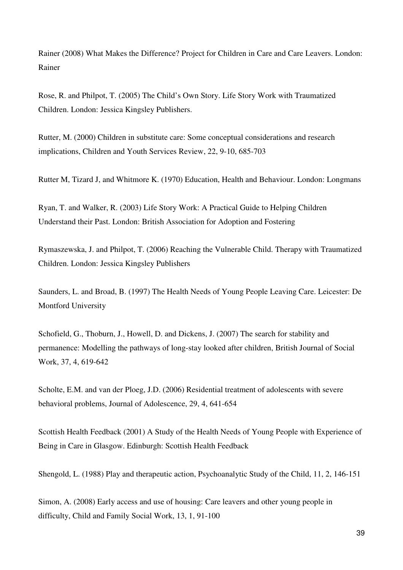Rainer (2008) What Makes the Difference? Project for Children in Care and Care Leavers. London: Rainer

Rose, R. and Philpot, T. (2005) The Child's Own Story. Life Story Work with Traumatized Children. London: Jessica Kingsley Publishers.

Rutter, M. (2000) Children in substitute care: Some conceptual considerations and research implications, Children and Youth Services Review, 22, 9-10, 685-703

Rutter M, Tizard J, and Whitmore K. (1970) Education, Health and Behaviour. London: Longmans

Ryan, T. and Walker, R. (2003) Life Story Work: A Practical Guide to Helping Children Understand their Past. London: British Association for Adoption and Fostering

Rymaszewska, J. and Philpot, T. (2006) Reaching the Vulnerable Child. Therapy with Traumatized Children. London: Jessica Kingsley Publishers

Saunders, L. and Broad, B. (1997) The Health Needs of Young People Leaving Care. Leicester: De Montford University

Schofield, G., Thoburn, J., Howell, D. and Dickens, J. (2007) The search for stability and permanence: Modelling the pathways of long-stay looked after children, British Journal of Social Work, 37, 4, 619-642

Scholte, E.M. and van der Ploeg, J.D. (2006) Residential treatment of adolescents with severe behavioral problems, Journal of Adolescence, 29, 4, 641-654

Scottish Health Feedback (2001) A Study of the Health Needs of Young People with Experience of Being in Care in Glasgow. Edinburgh: Scottish Health Feedback

Shengold, L. (1988) Play and therapeutic action, Psychoanalytic Study of the Child, 11, 2, 146-151

Simon, A. (2008) Early access and use of housing: Care leavers and other young people in difficulty, Child and Family Social Work, 13, 1, 91-100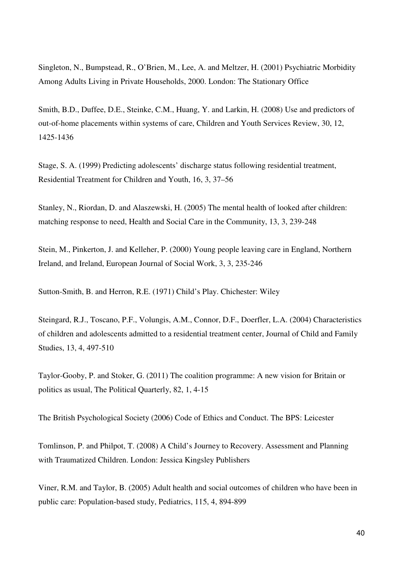Singleton, N., Bumpstead, R., O'Brien, M., Lee, A. and Meltzer, H. (2001) Psychiatric Morbidity Among Adults Living in Private Households, 2000. London: The Stationary Office

Smith, B.D., Duffee, D.E., Steinke, C.M., Huang, Y. and Larkin, H. (2008) Use and predictors of out-of-home placements within systems of care, Children and Youth Services Review, 30, 12, 1425-1436

Stage, S. A. (1999) Predicting adolescents' discharge status following residential treatment, Residential Treatment for Children and Youth, 16, 3, 37–56

Stanley, N., Riordan, D. and Alaszewski, H. (2005) The mental health of looked after children: matching response to need, Health and Social Care in the Community, 13, 3, 239-248

Stein, M., Pinkerton, J. and Kelleher, P. (2000) Young people leaving care in England, Northern Ireland, and Ireland, European Journal of Social Work, 3, 3, 235-246

Sutton-Smith, B. and Herron, R.E. (1971) Child's Play. Chichester: Wiley

Steingard, R.J., Toscano, P.F., Volungis, A.M., Connor, D.F., Doerfler, L.A. (2004) Characteristics of children and adolescents admitted to a residential treatment center, Journal of Child and Family Studies, 13, 4, 497-510

Taylor-Gooby, P. and Stoker, G. (2011) The coalition programme: A new vision for Britain or politics as usual, The Political Quarterly, 82, 1, 4-15

The British Psychological Society (2006) Code of Ethics and Conduct. The BPS: Leicester

Tomlinson, P. and Philpot, T. (2008) A Child's Journey to Recovery. Assessment and Planning with Traumatized Children. London: Jessica Kingsley Publishers

Viner, R.M. and Taylor, B. (2005) Adult health and social outcomes of children who have been in public care: Population-based study, Pediatrics, 115, 4, 894-899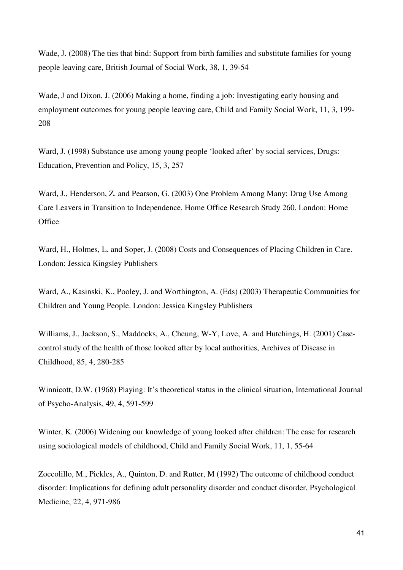Wade, J. (2008) The ties that bind: Support from birth families and substitute families for young people leaving care, British Journal of Social Work, 38, 1, 39-54

Wade, J and Dixon, J. (2006) Making a home, finding a job: Investigating early housing and employment outcomes for young people leaving care, Child and Family Social Work, 11, 3, 199- 208

Ward, J. (1998) Substance use among young people 'looked after' by social services, Drugs: Education, Prevention and Policy, 15, 3, 257

Ward, J., Henderson, Z. and Pearson, G. (2003) One Problem Among Many: Drug Use Among Care Leavers in Transition to Independence. Home Office Research Study 260. London: Home **Office** 

Ward, H., Holmes, L. and Soper, J. (2008) Costs and Consequences of Placing Children in Care. London: Jessica Kingsley Publishers

Ward, A., Kasinski, K., Pooley, J. and Worthington, A. (Eds) (2003) Therapeutic Communities for Children and Young People. London: Jessica Kingsley Publishers

Williams, J., Jackson, S., Maddocks, A., Cheung, W-Y, Love, A. and Hutchings, H. (2001) Casecontrol study of the health of those looked after by local authorities, Archives of Disease in Childhood, 85, 4, 280-285

Winnicott, D.W. (1968) Playing: It's theoretical status in the clinical situation, International Journal of Psycho-Analysis, 49, 4, 591-599

Winter, K. (2006) Widening our knowledge of young looked after children: The case for research using sociological models of childhood, Child and Family Social Work, 11, 1, 55-64

Zoccolillo, M., Pickles, A., Quinton, D. and Rutter, M (1992) The outcome of childhood conduct disorder: Implications for defining adult personality disorder and conduct disorder, Psychological Medicine, 22, 4, 971-986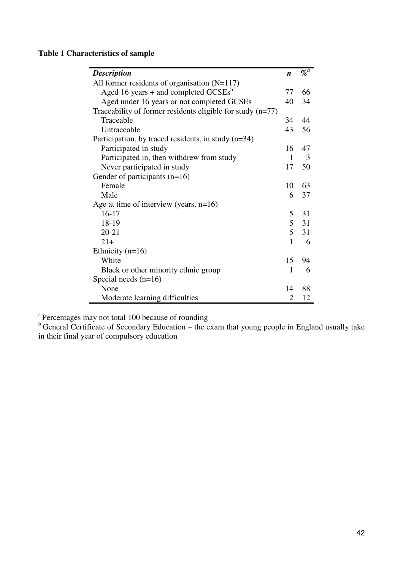## **Table 1 Characteristics of sample**

| <b>Description</b>                                           | $\boldsymbol{n}$ | $\mathcal{C}^a$ |
|--------------------------------------------------------------|------------------|-----------------|
| All former residents of organisation $(N=117)$               |                  |                 |
| Aged 16 years + and completed $GCSEs^b$                      | 77               | 66              |
| Aged under 16 years or not completed GCSEs                   | 40               | 34              |
| Traceability of former residents eligible for study $(n=77)$ |                  |                 |
| Traceable                                                    | 34               | 44              |
| Untraceable                                                  | 43               | 56              |
| Participation, by traced residents, in study $(n=34)$        |                  |                 |
| Participated in study                                        | 16               | 47              |
| Participated in, then withdrew from study                    | 1                | 3               |
| Never participated in study                                  | 17               | 50              |
| Gender of participants (n=16)                                |                  |                 |
| Female                                                       | 10               | 63              |
| Male                                                         | 6                | 37              |
| Age at time of interview (years, $n=16$ )                    |                  |                 |
| $16 - 17$                                                    | 5                | 31              |
| 18-19                                                        | 5                | 31              |
| $20 - 21$                                                    | 5                | 31              |
| $21+$                                                        | 1                | 6               |
| Ethnicity $(n=16)$                                           |                  |                 |
| White                                                        | 15               | 94              |
| Black or other minority ethnic group                         | 1                | 6               |
| Special needs $(n=16)$                                       |                  |                 |
| None                                                         | 14               | 88              |
| Moderate learning difficulties                               | 2                | 12              |

<sup>a</sup> Percentages may not total 100 because of rounding

<sup>b</sup> General Certificate of Secondary Education – the exam that young people in England usually take in their final year of compulsory education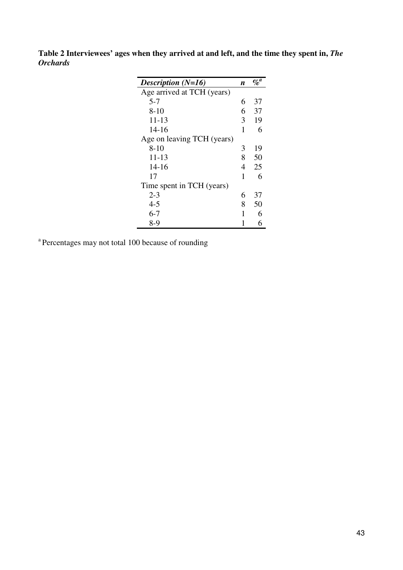| Description $(N=16)$       | $\boldsymbol{n}$ | $\mathcal{N}_0^a$ |
|----------------------------|------------------|-------------------|
| Age arrived at TCH (years) |                  |                   |
| 5-7                        | 6                | 37                |
| $8 - 10$                   | 6                | 37                |
| 11-13                      | 3                | 19                |
| 14-16                      | 1                | 6                 |
| Age on leaving TCH (years) |                  |                   |
| $8-10$                     | 3                | 19                |
| $11 - 13$                  | 8                | 50                |
| 14-16                      | 4                | 25                |
| 17                         | 1                | 6                 |
| Time spent in TCH (years)  |                  |                   |
| $2 - 3$                    | 6                | 37                |
| 4-5                        | 8                | 50                |
| $6 - 7$                    | 1                | 6                 |
| 8-9                        |                  |                   |

Table 2 Interviewees' ages when they arrived at and left, and the time they spent in, *The Orchards* 

<sup>a</sup> Percentages may not total 100 because of rounding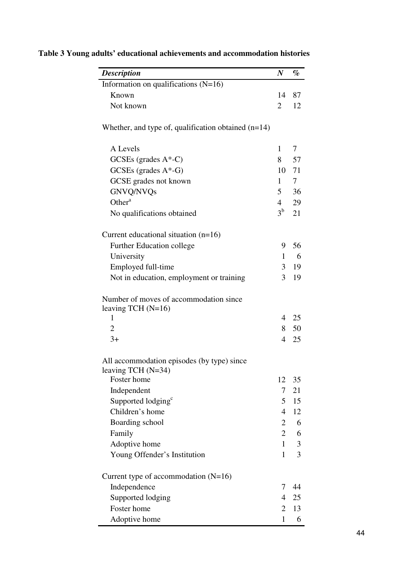| <b>Description</b>                                               | $\boldsymbol{N}$ | $\%$  |
|------------------------------------------------------------------|------------------|-------|
| Information on qualifications $(N=16)$                           |                  |       |
| Known                                                            | 14               | 87    |
| Not known                                                        | $\overline{2}$   | 12    |
| Whether, and type of, qualification obtained $(n=14)$            |                  |       |
| A Levels                                                         | 1                | 7     |
| GCSEs (grades $A*-C$ )                                           | 8                | 57    |
| GCSEs (grades $A^*$ -G)                                          |                  | 10 71 |
| GCSE grades not known                                            | 1                | 7     |
| GNVQ/NVQs                                                        | 5 <sup>5</sup>   | 36    |
| Other $a$                                                        | $4\overline{ }$  | 29    |
| No qualifications obtained                                       | 3 <sup>b</sup>   | 21    |
| Current educational situation $(n=16)$                           |                  |       |
| <b>Further Education college</b>                                 | 9                | 56    |
| University                                                       | 1                | 6     |
| Employed full-time                                               |                  | 3 19  |
| Not in education, employment or training                         | $\mathfrak{Z}$   | 19    |
| Number of moves of accommodation since<br>leaving TCH $(N=16)$   |                  |       |
| 1                                                                | 4                | 25    |
| $\overline{2}$                                                   | 8                | 50    |
| $3+$                                                             | $\overline{4}$   | 25    |
| All accommodation episodes (by type) since<br>leaving TCH (N=34) |                  |       |
| Foster home                                                      | 12               | 35    |
| Independent                                                      | 7 <sup>1</sup>   | 21    |
| Supported lodging <sup>c</sup>                                   | 5 <sup>5</sup>   | 15    |
| Children's home                                                  | $\overline{4}$   | 12    |
| Boarding school                                                  | $\overline{2}$   | 6     |
| Family                                                           | $\overline{2}$   | 6     |
| Adoptive home                                                    | 1                | 3     |
| Young Offender's Institution                                     | 1                | 3     |
| Current type of accommodation $(N=16)$                           |                  |       |
| Independence                                                     | 7                | 44    |
| Supported lodging                                                | 4                | 25    |
| Foster home                                                      | $\overline{2}$   | 13    |
| Adoptive home                                                    | 1                | 6     |

# **Table 3 Young adults' educational achievements and accommodation histories**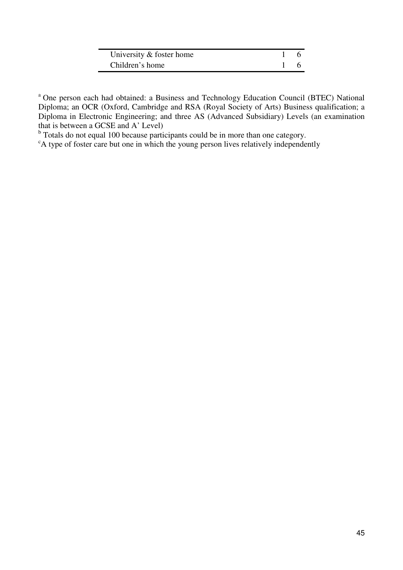| University & foster home |  |
|--------------------------|--|
| Children's home          |  |

<sup>a</sup> One person each had obtained: a Business and Technology Education Council (BTEC) National Diploma; an OCR (Oxford, Cambridge and RSA (Royal Society of Arts) Business qualification; a Diploma in Electronic Engineering; and three AS (Advanced Subsidiary) Levels (an examination that is between a GCSE and A' Level)

<sup>b</sup> Totals do not equal 100 because participants could be in more than one category.

 $\overline{a}$ 

 $\overrightarrow{A}$  type of foster care but one in which the young person lives relatively independently